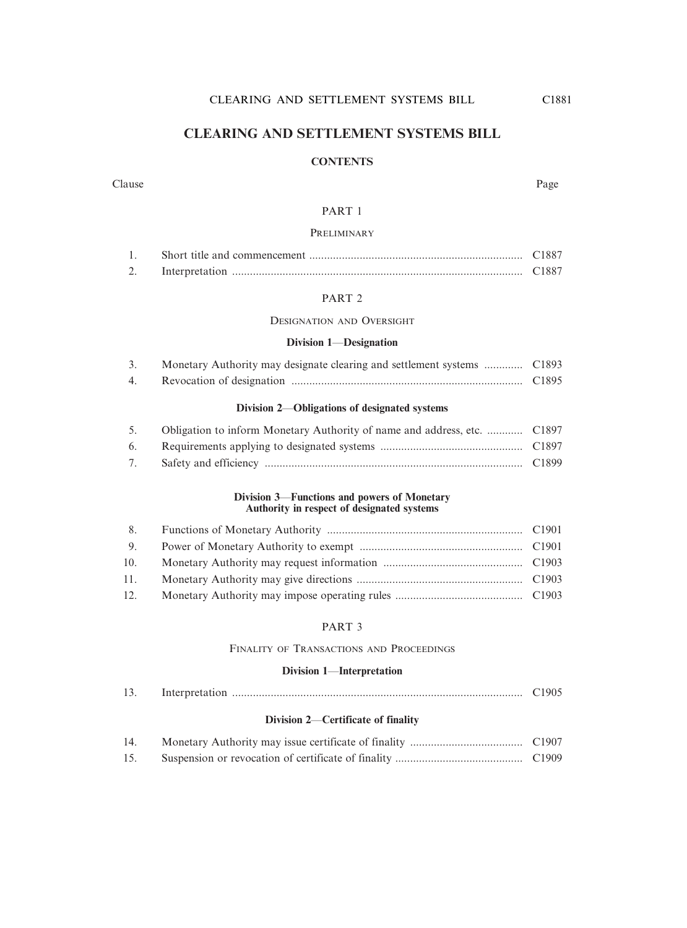#### **CLEARING AND SETTLEMENT SYSTEMS BILL**

#### **CONTENTS**

#### Clause Page

#### PART 1

#### PRELIMINARY

|  | €1887                 |
|--|-----------------------|
|  | $^\sim$ 1887 $^\circ$ |

#### PART 2

DESIGNATION AND OVERSIGHT

#### **Division 1**—**Designation**

|    | Monetary Authority may designate clearing and settlement systems  C1893 |  |
|----|-------------------------------------------------------------------------|--|
| 4. |                                                                         |  |

#### **Division 2**—**Obligations of designated systems**

| 5. Obligation to inform Monetary Authority of name and address, etc.  C1897 |  |
|-----------------------------------------------------------------------------|--|
|                                                                             |  |
|                                                                             |  |

#### **Division 3**—**Functions and powers of Monetary Authority in respect of designated systems**

| 9 <sub>1</sub> |  |
|----------------|--|
|                |  |
|                |  |
| 12.            |  |

#### PART 3

#### FINALITY OF TRANSACTIONS AND PROCEEDINGS

#### **Division 1**—**Interpretation**

| $\sim$ | Interpretation |  |  |
|--------|----------------|--|--|
|--------|----------------|--|--|

#### **Division 2**—**Certificate of finality**

| 14. |  |
|-----|--|
| 15. |  |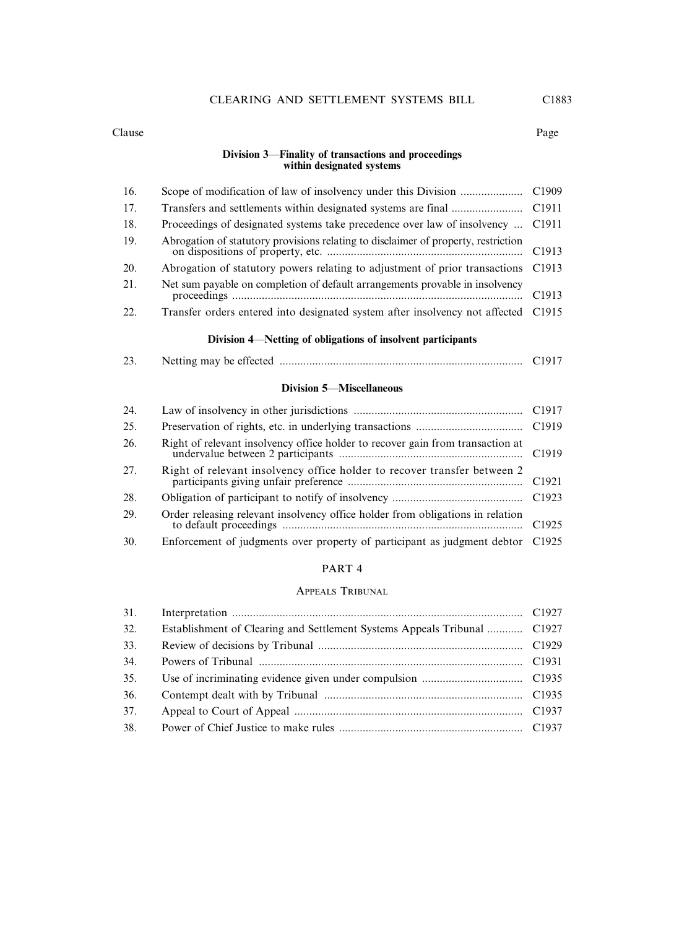#### Clause Page

#### **Division 3**—**Finality of transactions and proceedings within designated systems**

| 16. |                                                                                    |                   |
|-----|------------------------------------------------------------------------------------|-------------------|
| 17. |                                                                                    |                   |
| 18. | Proceedings of designated systems take precedence over law of insolvency  C1911    |                   |
| 19. | Abrogation of statutory provisions relating to disclaimer of property, restriction |                   |
| 20. | Abrogation of statutory powers relating to adjustment of prior transactions C1913  |                   |
| 21. | Net sum payable on completion of default arrangements provable in insolvency       | C <sub>1913</sub> |
| 22. | Transfer orders entered into designated system after insolvency not affected C1915 |                   |

#### **Division 4**—**Netting of obligations of insolvent participants**

| $\sim$<br>.ر_ |  |  |
|---------------|--|--|
|               |  |  |

#### **Division 5**—**Miscellaneous**

| 24. |                                                                                |                   |
|-----|--------------------------------------------------------------------------------|-------------------|
| 25. |                                                                                |                   |
| 26. | Right of relevant insolvency office holder to recover gain from transaction at |                   |
| 27. | Right of relevant insolvency office holder to recover transfer between 2       |                   |
| 28. |                                                                                |                   |
| 29. | Order releasing relevant insolvency office holder from obligations in relation | C <sub>1925</sub> |
| 30. | Enforcement of judgments over property of participant as judgment debtor C1925 |                   |

#### PART 4

#### APPEALS TRIBUNAL

| 31. |                                                                          |  |
|-----|--------------------------------------------------------------------------|--|
| 32. | Establishment of Clearing and Settlement Systems Appeals Tribunal  C1927 |  |
| 33. |                                                                          |  |
| 34. |                                                                          |  |
| 35. |                                                                          |  |
| 36. |                                                                          |  |
| 37. |                                                                          |  |
| 38. |                                                                          |  |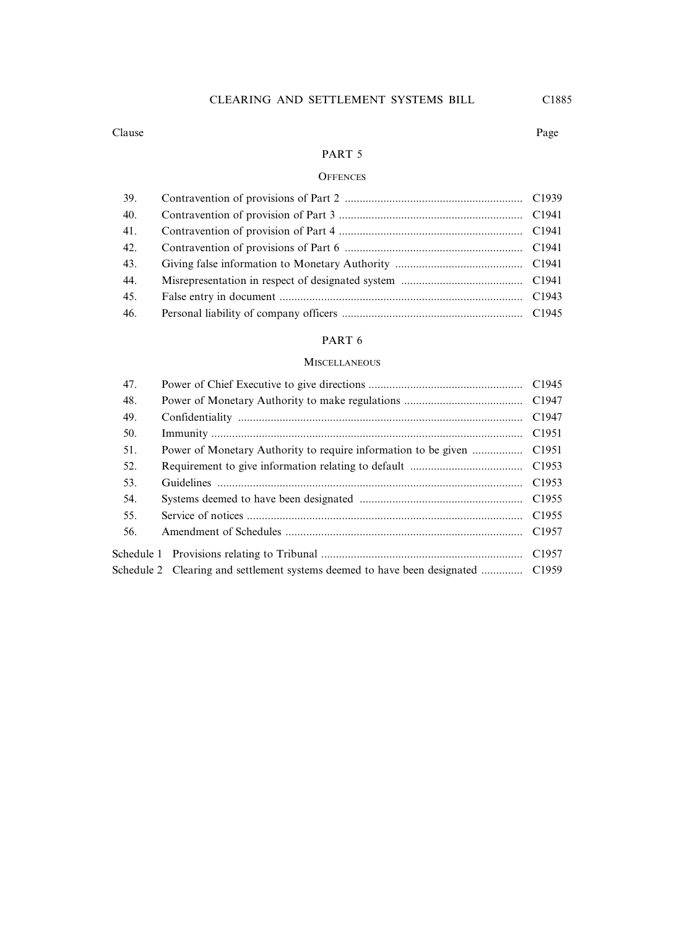#### CLEARING AND SETTLEMENT SYSTEMS BILL C1885

#### Clause Page

#### PART 5

#### **OFFENCES**

| 40. |  |
|-----|--|
| 41. |  |
| 42. |  |
| 43. |  |
| 44. |  |
| 45. |  |
| 46. |  |

#### PART 6

#### **MISCELLANEOUS**

| 47. |                                                                | C1945             |
|-----|----------------------------------------------------------------|-------------------|
| 48. |                                                                |                   |
| 49. |                                                                | C <sub>1947</sub> |
| 50. |                                                                | C <sub>1951</sub> |
| 51. | Power of Monetary Authority to require information to be given | C <sub>1951</sub> |
| 52. |                                                                |                   |
| 53. |                                                                | C <sub>1953</sub> |
| 54. |                                                                | C <sub>1955</sub> |
| 55. |                                                                | C <sub>1955</sub> |
| 56. |                                                                | C <sub>1957</sub> |
|     |                                                                | C <sub>1957</sub> |
|     |                                                                |                   |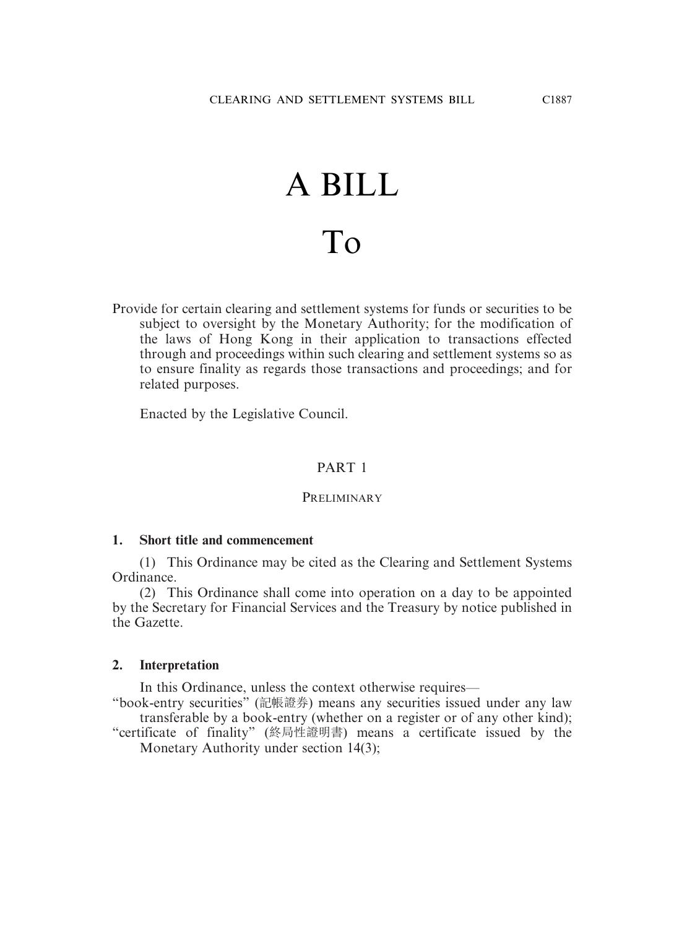# A BILL To

Provide for certain clearing and settlement systems for funds or securities to be subject to oversight by the Monetary Authority; for the modification of the laws of Hong Kong in their application to transactions effected through and proceedings within such clearing and settlement systems so as to ensure finality as regards those transactions and proceedings; and for related purposes.

Enacted by the Legislative Council.

#### PART 1

#### **PRELIMINARY**

#### **1. Short title and commencement**

(1) This Ordinance may be cited as the Clearing and Settlement Systems Ordinance.

(2) This Ordinance shall come into operation on a day to be appointed by the Secretary for Financial Services and the Treasury by notice published in the Gazette.

#### **2. Interpretation**

In this Ordinance, unless the context otherwise requires—

"book-entry securities" (記帳證券) means any securities issued under any law transferable by a book-entry (whether on a register or of any other kind);

"certificate of finality" (終局性證明書) means a certificate issued by the Monetary Authority under section 14(3);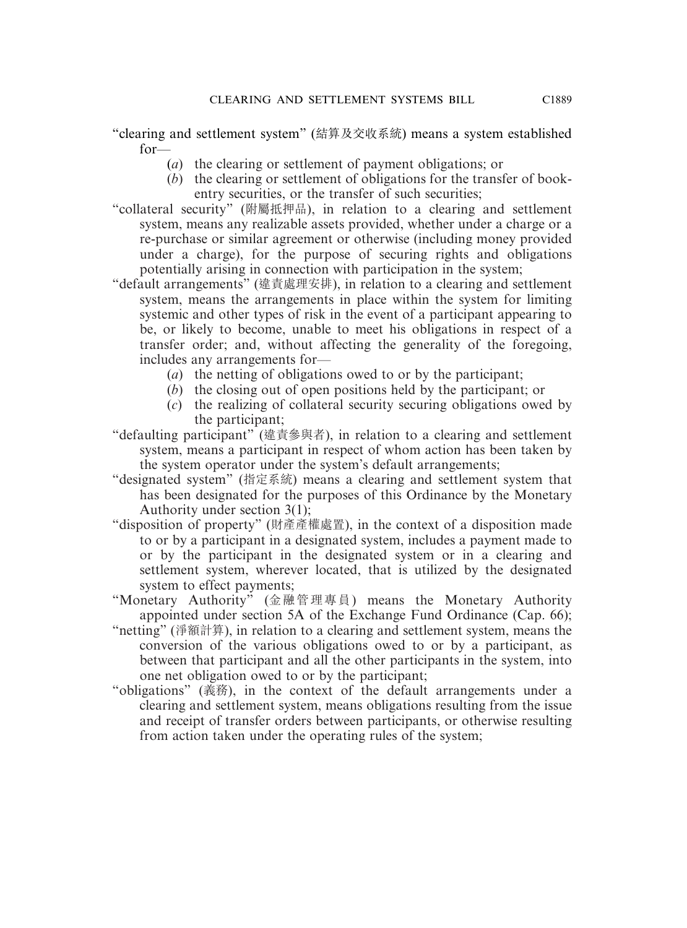"clearing and settlement system" (結算及交收系統) means a system established for—

- (*a*) the clearing or settlement of payment obligations; or
- (*b*) the clearing or settlement of obligations for the transfer of bookentry securities, or the transfer of such securities;

"collateral security" (附屬抵押品), in relation to a clearing and settlement system, means any realizable assets provided, whether under a charge or a re-purchase or similar agreement or otherwise (including money provided under a charge), for the purpose of securing rights and obligations potentially arising in connection with participation in the system;

- "default arrangements" (違責處理安排), in relation to a clearing and settlement system, means the arrangements in place within the system for limiting systemic and other types of risk in the event of a participant appearing to be, or likely to become, unable to meet his obligations in respect of a transfer order; and, without affecting the generality of the foregoing, includes any arrangements for—
	- (*a*) the netting of obligations owed to or by the participant;
	- (*b*) the closing out of open positions held by the participant; or
	- (*c*) the realizing of collateral security securing obligations owed by the participant;
- "defaulting participant" (違責參與者), in relation to a clearing and settlement system, means a participant in respect of whom action has been taken by the system operator under the system's default arrangements;
- "designated system" (指定系統) means a clearing and settlement system that has been designated for the purposes of this Ordinance by the Monetary Authority under section 3(1);
- "disposition of property" (財產產權處置), in the context of a disposition made to or by a participant in a designated system, includes a payment made to or by the participant in the designated system or in a clearing and settlement system, wherever located, that is utilized by the designated system to effect payments;
- "Monetary Authority" (金融管理專員) means the Monetary Authority appointed under section 5A of the Exchange Fund Ordinance (Cap. 66);
- "netting" (淨額計算), in relation to a clearing and settlement system, means the conversion of the various obligations owed to or by a participant, as between that participant and all the other participants in the system, into one net obligation owed to or by the participant;
- "obligations" (義務), in the context of the default arrangements under a clearing and settlement system, means obligations resulting from the issue and receipt of transfer orders between participants, or otherwise resulting from action taken under the operating rules of the system;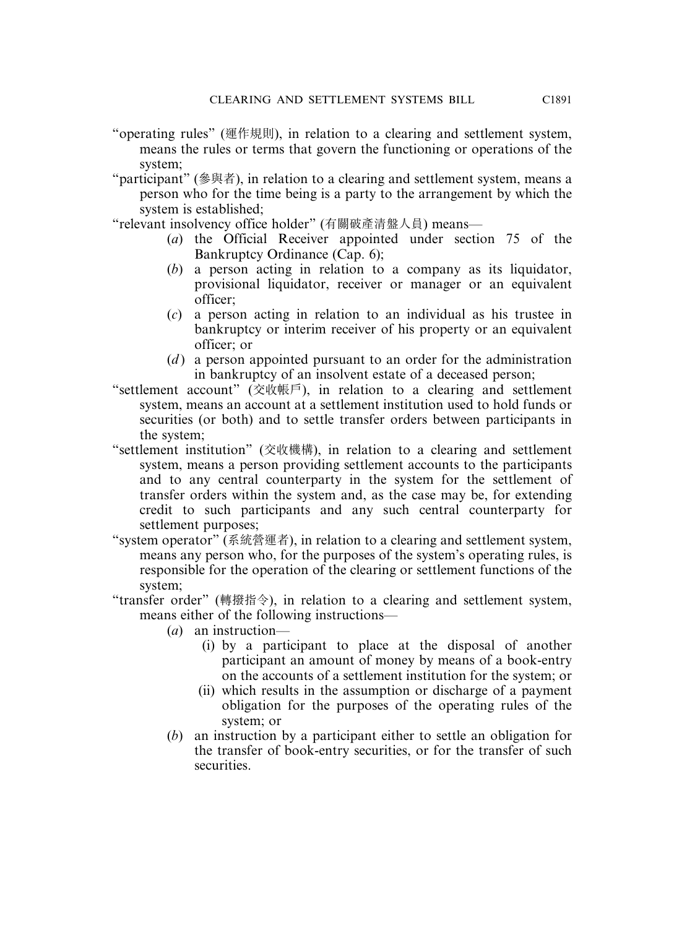- "operating rules" (運作規則), in relation to a clearing and settlement system, means the rules or terms that govern the functioning or operations of the system;
- "participant" (參與者), in relation to a clearing and settlement system, means a person who for the time being is a party to the arrangement by which the system is established;

"relevant insolvency office holder" (有關破產清盤人員) means—

- (*a*) the Official Receiver appointed under section 75 of the Bankruptcy Ordinance (Cap. 6);
- (*b*) a person acting in relation to a company as its liquidator, provisional liquidator, receiver or manager or an equivalent officer;
- (*c*) a person acting in relation to an individual as his trustee in bankruptcy or interim receiver of his property or an equivalent officer; or
- (*d*) a person appointed pursuant to an order for the administration in bankruptcy of an insolvent estate of a deceased person;
- "settlement account" (交收帳戶), in relation to a clearing and settlement system, means an account at a settlement institution used to hold funds or securities (or both) and to settle transfer orders between participants in the system;
- "settlement institution" (交收機構), in relation to a clearing and settlement system, means a person providing settlement accounts to the participants and to any central counterparty in the system for the settlement of transfer orders within the system and, as the case may be, for extending credit to such participants and any such central counterparty for settlement purposes;
- "system operator" (系統營運者), in relation to a clearing and settlement system, means any person who, for the purposes of the system's operating rules, is responsible for the operation of the clearing or settlement functions of the system;
- "transfer order" (轉撥指令), in relation to a clearing and settlement system, means either of the following instructions—
	- (*a*) an instruction—
		- (i) by a participant to place at the disposal of another participant an amount of money by means of a book-entry on the accounts of a settlement institution for the system; or
		- (ii) which results in the assumption or discharge of a payment obligation for the purposes of the operating rules of the system; or
	- (*b*) an instruction by a participant either to settle an obligation for the transfer of book-entry securities, or for the transfer of such securities.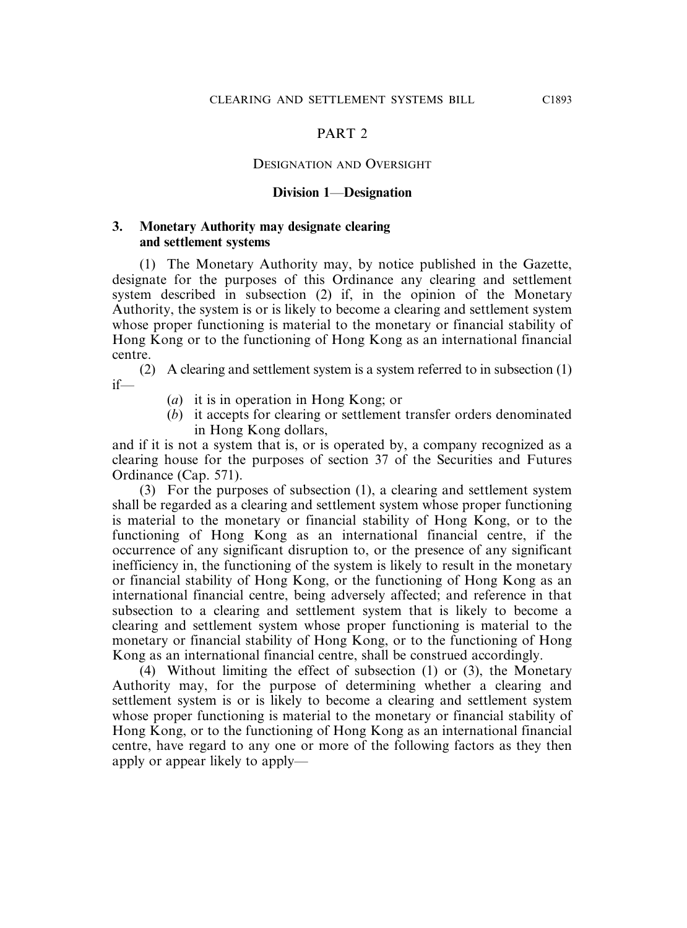#### DESIGNATION AND OVERSIGHT

#### **Division 1**—**Designation**

#### **3. Monetary Authority may designate clearing and settlement systems**

(1) The Monetary Authority may, by notice published in the Gazette, designate for the purposes of this Ordinance any clearing and settlement system described in subsection (2) if, in the opinion of the Monetary Authority, the system is or is likely to become a clearing and settlement system whose proper functioning is material to the monetary or financial stability of Hong Kong or to the functioning of Hong Kong as an international financial centre.

(2) A clearing and settlement system is a system referred to in subsection (1) if—

- (*a*) it is in operation in Hong Kong; or
- (*b*) it accepts for clearing or settlement transfer orders denominated in Hong Kong dollars,

and if it is not a system that is, or is operated by, a company recognized as a clearing house for the purposes of section 37 of the Securities and Futures Ordinance (Cap. 571).

(3) For the purposes of subsection (1), a clearing and settlement system shall be regarded as a clearing and settlement system whose proper functioning is material to the monetary or financial stability of Hong Kong, or to the functioning of Hong Kong as an international financial centre, if the occurrence of any significant disruption to, or the presence of any significant inefficiency in, the functioning of the system is likely to result in the monetary or financial stability of Hong Kong, or the functioning of Hong Kong as an international financial centre, being adversely affected; and reference in that subsection to a clearing and settlement system that is likely to become a clearing and settlement system whose proper functioning is material to the monetary or financial stability of Hong Kong, or to the functioning of Hong Kong as an international financial centre, shall be construed accordingly.

(4) Without limiting the effect of subsection (1) or (3), the Monetary Authority may, for the purpose of determining whether a clearing and settlement system is or is likely to become a clearing and settlement system whose proper functioning is material to the monetary or financial stability of Hong Kong, or to the functioning of Hong Kong as an international financial centre, have regard to any one or more of the following factors as they then apply or appear likely to apply—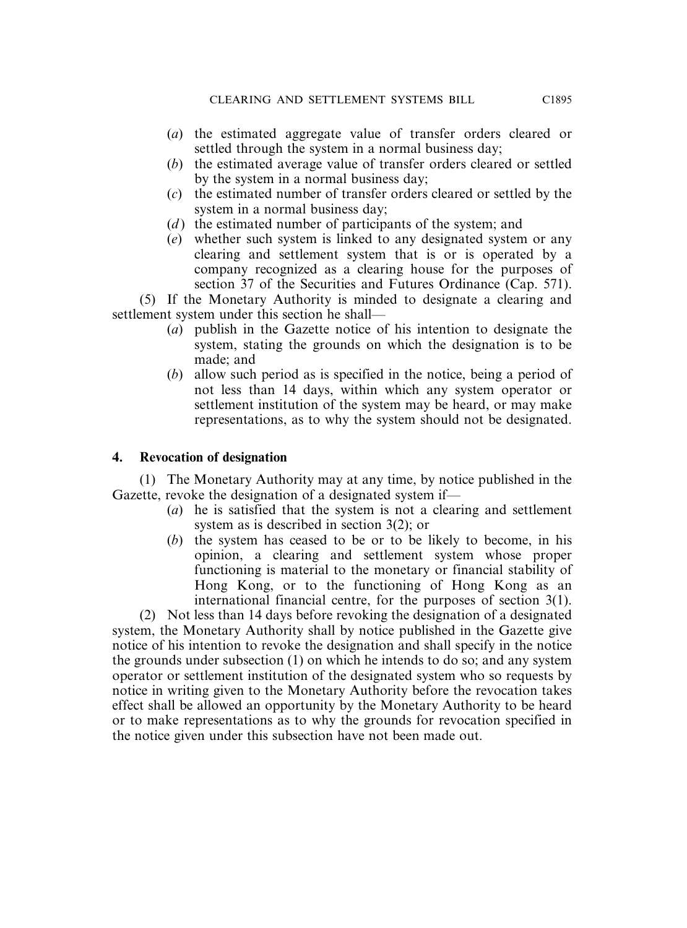- (*a*) the estimated aggregate value of transfer orders cleared or settled through the system in a normal business day;
- (*b*) the estimated average value of transfer orders cleared or settled by the system in a normal business day;
- (*c*) the estimated number of transfer orders cleared or settled by the system in a normal business day;
- (*d*) the estimated number of participants of the system; and
- (*e*) whether such system is linked to any designated system or any clearing and settlement system that is or is operated by a company recognized as a clearing house for the purposes of section 37 of the Securities and Futures Ordinance (Cap. 571).

(5) If the Monetary Authority is minded to designate a clearing and settlement system under this section he shall—

- (*a*) publish in the Gazette notice of his intention to designate the system, stating the grounds on which the designation is to be made; and
- (*b*) allow such period as is specified in the notice, being a period of not less than 14 days, within which any system operator or settlement institution of the system may be heard, or may make representations, as to why the system should not be designated.

#### **4. Revocation of designation**

(1) The Monetary Authority may at any time, by notice published in the Gazette, revoke the designation of a designated system if—

- (*a*) he is satisfied that the system is not a clearing and settlement system as is described in section 3(2); or
- (*b*) the system has ceased to be or to be likely to become, in his opinion, a clearing and settlement system whose proper functioning is material to the monetary or financial stability of Hong Kong, or to the functioning of Hong Kong as an international financial centre, for the purposes of section 3(1).

(2) Not less than 14 days before revoking the designation of a designated system, the Monetary Authority shall by notice published in the Gazette give notice of his intention to revoke the designation and shall specify in the notice the grounds under subsection (1) on which he intends to do so; and any system operator or settlement institution of the designated system who so requests by notice in writing given to the Monetary Authority before the revocation takes effect shall be allowed an opportunity by the Monetary Authority to be heard or to make representations as to why the grounds for revocation specified in the notice given under this subsection have not been made out.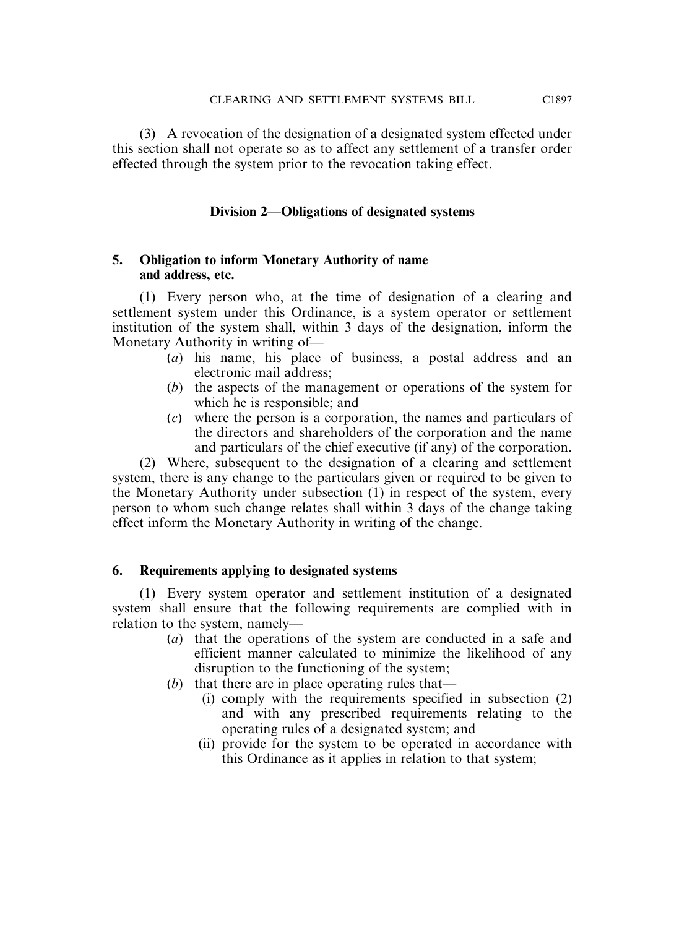(3) A revocation of the designation of a designated system effected under this section shall not operate so as to affect any settlement of a transfer order effected through the system prior to the revocation taking effect.

# **Division 2**—**Obligations of designated systems**

#### **5. Obligation to inform Monetary Authority of name and address, etc.**

(1) Every person who, at the time of designation of a clearing and settlement system under this Ordinance, is a system operator or settlement institution of the system shall, within 3 days of the designation, inform the Monetary Authority in writing of—

- (*a*) his name, his place of business, a postal address and an electronic mail address;
- (*b*) the aspects of the management or operations of the system for which he is responsible; and
- (*c*) where the person is a corporation, the names and particulars of the directors and shareholders of the corporation and the name and particulars of the chief executive (if any) of the corporation.

(2) Where, subsequent to the designation of a clearing and settlement system, there is any change to the particulars given or required to be given to the Monetary Authority under subsection (1) in respect of the system, every person to whom such change relates shall within 3 days of the change taking effect inform the Monetary Authority in writing of the change.

# **6. Requirements applying to designated systems**

(1) Every system operator and settlement institution of a designated system shall ensure that the following requirements are complied with in relation to the system, namely—

- (*a*) that the operations of the system are conducted in a safe and efficient manner calculated to minimize the likelihood of any disruption to the functioning of the system;
- (*b*) that there are in place operating rules that—
	- (i) comply with the requirements specified in subsection (2) and with any prescribed requirements relating to the operating rules of a designated system; and
	- (ii) provide for the system to be operated in accordance with this Ordinance as it applies in relation to that system;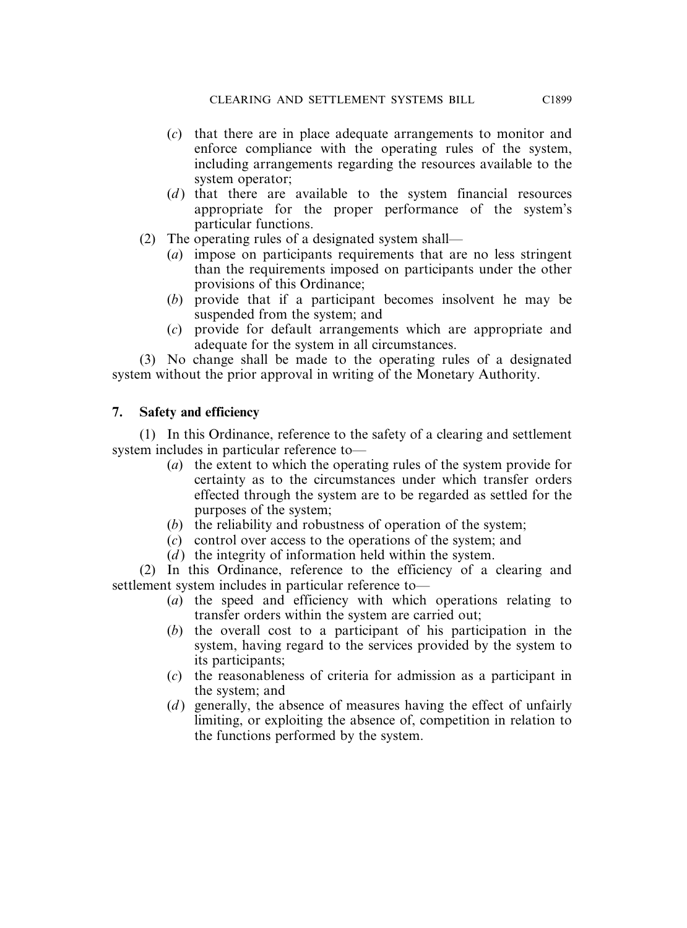- (*c*) that there are in place adequate arrangements to monitor and enforce compliance with the operating rules of the system, including arrangements regarding the resources available to the system operator;
- (*d*) that there are available to the system financial resources appropriate for the proper performance of the system's particular functions.
- (2) The operating rules of a designated system shall—
	- (*a*) impose on participants requirements that are no less stringent than the requirements imposed on participants under the other provisions of this Ordinance;
	- (*b*) provide that if a participant becomes insolvent he may be suspended from the system; and
	- (*c*) provide for default arrangements which are appropriate and adequate for the system in all circumstances.

(3) No change shall be made to the operating rules of a designated system without the prior approval in writing of the Monetary Authority.

# **7. Safety and efficiency**

(1) In this Ordinance, reference to the safety of a clearing and settlement system includes in particular reference to—

- (*a*) the extent to which the operating rules of the system provide for certainty as to the circumstances under which transfer orders effected through the system are to be regarded as settled for the purposes of the system;
- (*b*) the reliability and robustness of operation of the system;
- (*c*) control over access to the operations of the system; and
- $(d)$  the integrity of information held within the system.

(2) In this Ordinance, reference to the efficiency of a clearing and settlement system includes in particular reference to—

- (*a*) the speed and efficiency with which operations relating to transfer orders within the system are carried out;
- (*b*) the overall cost to a participant of his participation in the system, having regard to the services provided by the system to its participants;
- (*c*) the reasonableness of criteria for admission as a participant in the system; and
- (*d*) generally, the absence of measures having the effect of unfairly limiting, or exploiting the absence of, competition in relation to the functions performed by the system.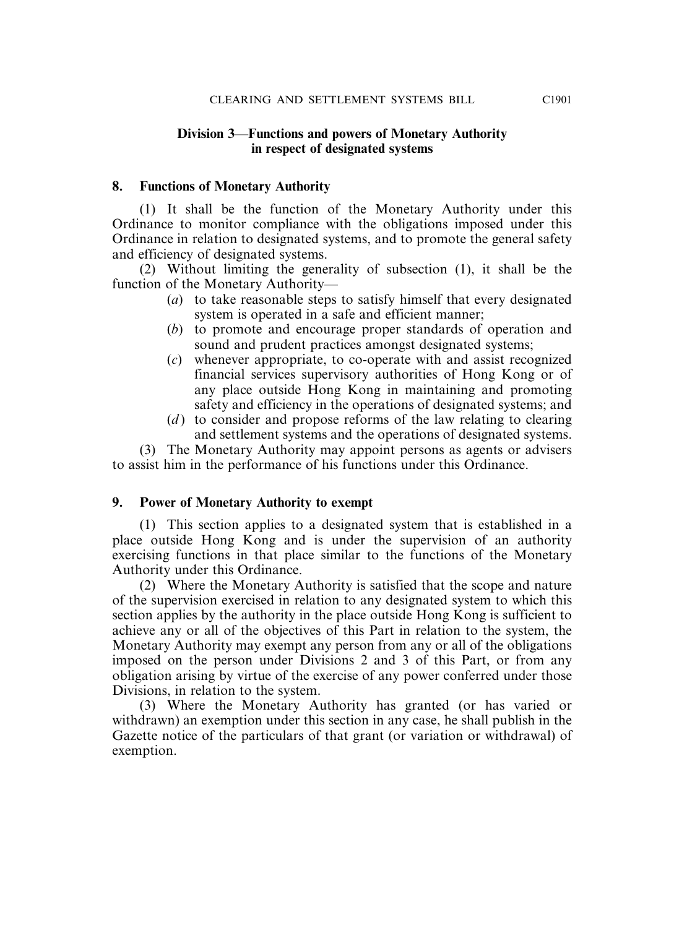#### **Division 3**—**Functions and powers of Monetary Authority in respect of designated systems**

#### **8. Functions of Monetary Authority**

(1) It shall be the function of the Monetary Authority under this Ordinance to monitor compliance with the obligations imposed under this Ordinance in relation to designated systems, and to promote the general safety and efficiency of designated systems.

(2) Without limiting the generality of subsection (1), it shall be the function of the Monetary Authority—

- (*a*) to take reasonable steps to satisfy himself that every designated system is operated in a safe and efficient manner;
- (*b*) to promote and encourage proper standards of operation and sound and prudent practices amongst designated systems;
- (*c*) whenever appropriate, to co-operate with and assist recognized financial services supervisory authorities of Hong Kong or of any place outside Hong Kong in maintaining and promoting safety and efficiency in the operations of designated systems; and
- (*d*) to consider and propose reforms of the law relating to clearing and settlement systems and the operations of designated systems.

(3) The Monetary Authority may appoint persons as agents or advisers to assist him in the performance of his functions under this Ordinance.

#### **9. Power of Monetary Authority to exempt**

(1) This section applies to a designated system that is established in a place outside Hong Kong and is under the supervision of an authority exercising functions in that place similar to the functions of the Monetary Authority under this Ordinance.

(2) Where the Monetary Authority is satisfied that the scope and nature of the supervision exercised in relation to any designated system to which this section applies by the authority in the place outside Hong Kong is sufficient to achieve any or all of the objectives of this Part in relation to the system, the Monetary Authority may exempt any person from any or all of the obligations imposed on the person under Divisions 2 and 3 of this Part, or from any obligation arising by virtue of the exercise of any power conferred under those Divisions, in relation to the system.

(3) Where the Monetary Authority has granted (or has varied or withdrawn) an exemption under this section in any case, he shall publish in the Gazette notice of the particulars of that grant (or variation or withdrawal) of exemption.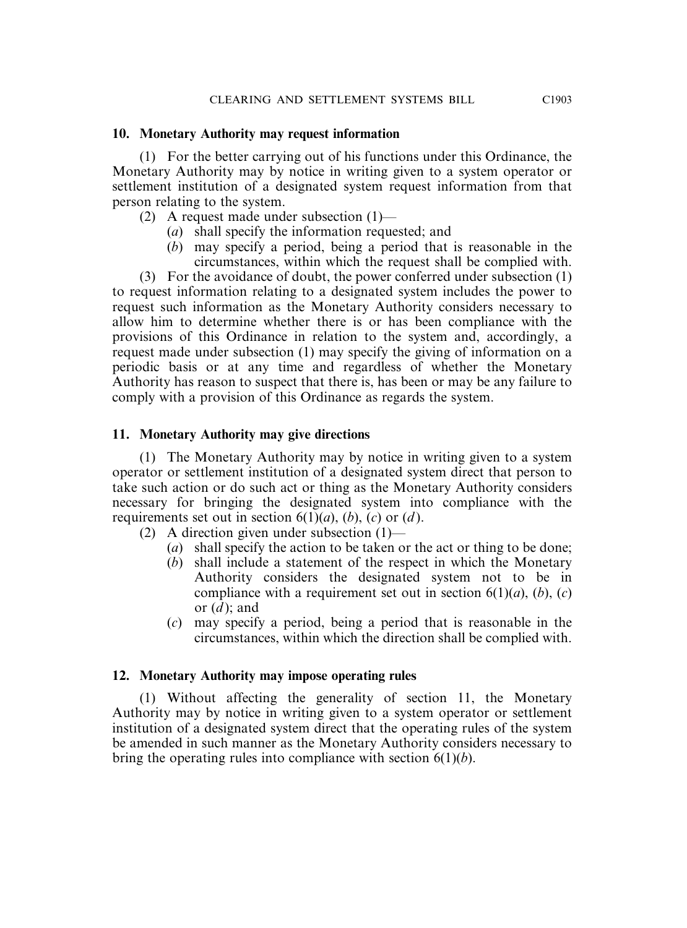#### **10. Monetary Authority may request information**

(1) For the better carrying out of his functions under this Ordinance, the Monetary Authority may by notice in writing given to a system operator or settlement institution of a designated system request information from that person relating to the system.

- (2) A request made under subsection (1)—
	- (*a*) shall specify the information requested; and
	- (*b*) may specify a period, being a period that is reasonable in the circumstances, within which the request shall be complied with.

(3) For the avoidance of doubt, the power conferred under subsection (1) to request information relating to a designated system includes the power to request such information as the Monetary Authority considers necessary to allow him to determine whether there is or has been compliance with the provisions of this Ordinance in relation to the system and, accordingly, a request made under subsection (1) may specify the giving of information on a periodic basis or at any time and regardless of whether the Monetary Authority has reason to suspect that there is, has been or may be any failure to comply with a provision of this Ordinance as regards the system.

#### **11. Monetary Authority may give directions**

(1) The Monetary Authority may by notice in writing given to a system operator or settlement institution of a designated system direct that person to take such action or do such act or thing as the Monetary Authority considers necessary for bringing the designated system into compliance with the requirements set out in section  $6(1)(a)$ ,  $(b)$ ,  $(c)$  or  $(d)$ .

- (2) A direction given under subsection (1)—
	- (*a*) shall specify the action to be taken or the act or thing to be done;
	- (*b*) shall include a statement of the respect in which the Monetary Authority considers the designated system not to be in compliance with a requirement set out in section  $6(1)(a)$ ,  $(b)$ ,  $(c)$ or (*d* ); and
	- (*c*) may specify a period, being a period that is reasonable in the circumstances, within which the direction shall be complied with.

# **12. Monetary Authority may impose operating rules**

(1) Without affecting the generality of section 11, the Monetary Authority may by notice in writing given to a system operator or settlement institution of a designated system direct that the operating rules of the system be amended in such manner as the Monetary Authority considers necessary to bring the operating rules into compliance with section 6(1)(*b*).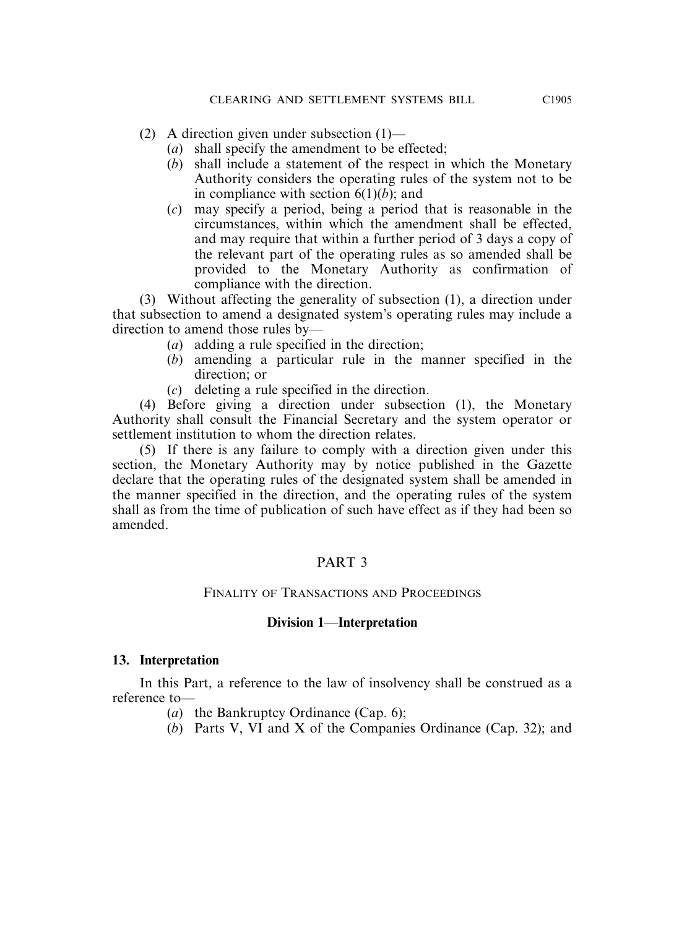- (2) A direction given under subsection (1)—
	- (*a*) shall specify the amendment to be effected;
	- (*b*) shall include a statement of the respect in which the Monetary Authority considers the operating rules of the system not to be in compliance with section 6(1)(*b*); and
	- (*c*) may specify a period, being a period that is reasonable in the circumstances, within which the amendment shall be effected, and may require that within a further period of 3 days a copy of the relevant part of the operating rules as so amended shall be provided to the Monetary Authority as confirmation of compliance with the direction.

(3) Without affecting the generality of subsection (1), a direction under that subsection to amend a designated system's operating rules may include a direction to amend those rules by—

- (*a*) adding a rule specified in the direction;
- (*b*) amending a particular rule in the manner specified in the direction; or
- (*c*) deleting a rule specified in the direction.

(4) Before giving a direction under subsection (1), the Monetary Authority shall consult the Financial Secretary and the system operator or settlement institution to whom the direction relates.

(5) If there is any failure to comply with a direction given under this section, the Monetary Authority may by notice published in the Gazette declare that the operating rules of the designated system shall be amended in the manner specified in the direction, and the operating rules of the system shall as from the time of publication of such have effect as if they had been so amended.

# PART 3

#### FINALITY OF TRANSACTIONS AND PROCEEDINGS

#### **Division 1**—**Interpretation**

#### **13. Interpretation**

In this Part, a reference to the law of insolvency shall be construed as a reference to—

- (*a*) the Bankruptcy Ordinance (Cap. 6);
- (*b*) Parts V, VI and X of the Companies Ordinance (Cap. 32); and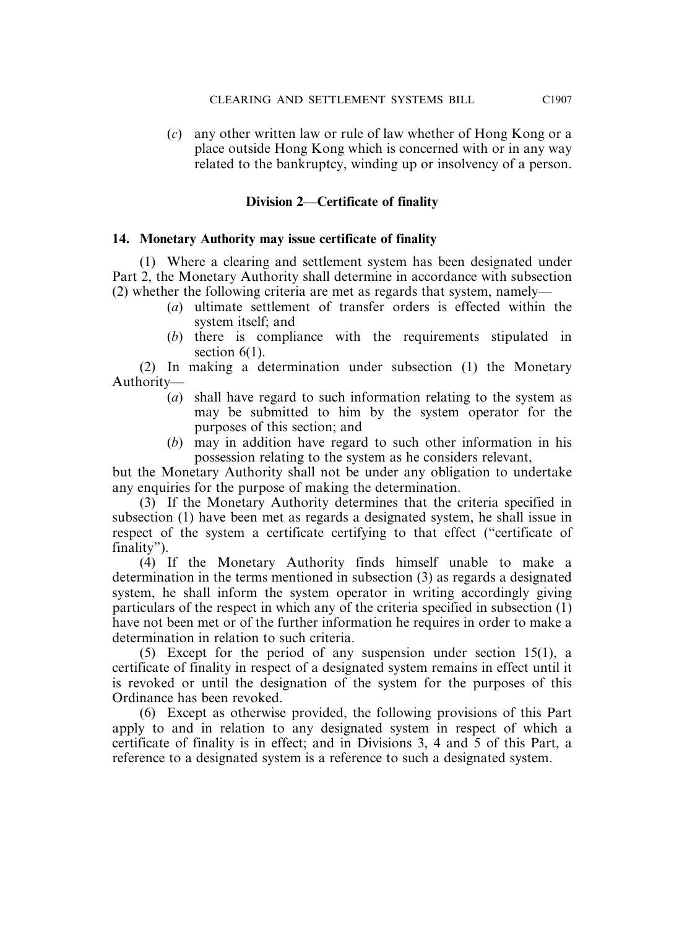(*c*) any other written law or rule of law whether of Hong Kong or a place outside Hong Kong which is concerned with or in any way related to the bankruptcy, winding up or insolvency of a person.

# **Division 2**—**Certificate of finality**

#### **14. Monetary Authority may issue certificate of finality**

(1) Where a clearing and settlement system has been designated under Part 2, the Monetary Authority shall determine in accordance with subsection (2) whether the following criteria are met as regards that system, namely—

- (*a*) ultimate settlement of transfer orders is effected within the system itself; and
- (*b*) there is compliance with the requirements stipulated in section  $6(1)$ .

(2) In making a determination under subsection (1) the Monetary Authority—

- (*a*) shall have regard to such information relating to the system as may be submitted to him by the system operator for the purposes of this section; and
- (*b*) may in addition have regard to such other information in his possession relating to the system as he considers relevant,

but the Monetary Authority shall not be under any obligation to undertake any enquiries for the purpose of making the determination.

(3) If the Monetary Authority determines that the criteria specified in subsection (1) have been met as regards a designated system, he shall issue in respect of the system a certificate certifying to that effect ("certificate of finality").

(4) If the Monetary Authority finds himself unable to make a determination in the terms mentioned in subsection (3) as regards a designated system, he shall inform the system operator in writing accordingly giving particulars of the respect in which any of the criteria specified in subsection (1) have not been met or of the further information he requires in order to make a determination in relation to such criteria.

(5) Except for the period of any suspension under section 15(1), a certificate of finality in respect of a designated system remains in effect until it is revoked or until the designation of the system for the purposes of this Ordinance has been revoked.

(6) Except as otherwise provided, the following provisions of this Part apply to and in relation to any designated system in respect of which a certificate of finality is in effect; and in Divisions 3, 4 and 5 of this Part, a reference to a designated system is a reference to such a designated system.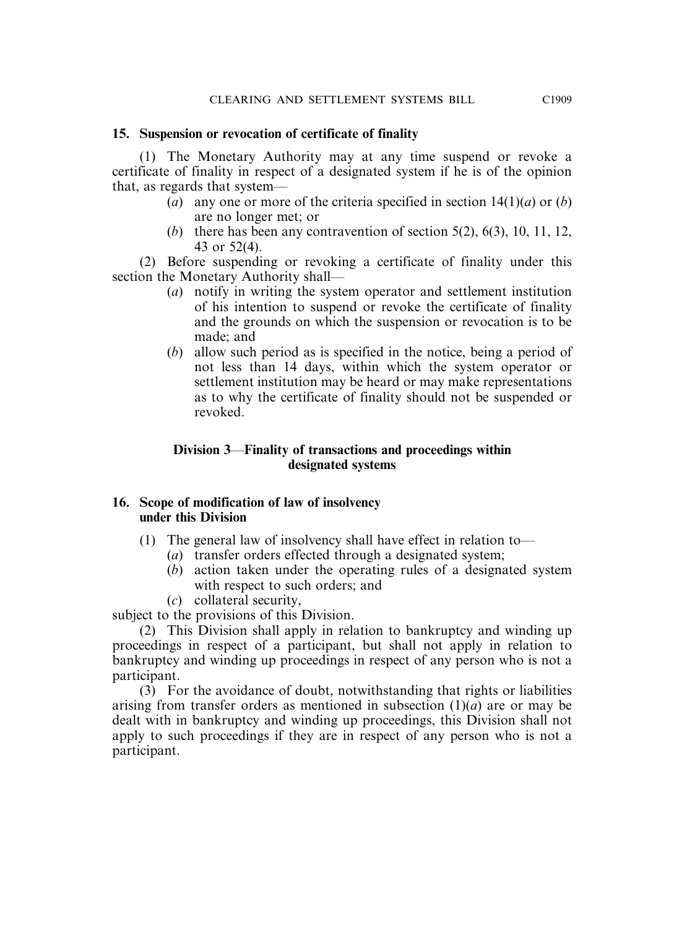# **15. Suspension or revocation of certificate of finality**

(1) The Monetary Authority may at any time suspend or revoke a certificate of finality in respect of a designated system if he is of the opinion that, as regards that system—

- (*a*) any one or more of the criteria specified in section  $14(1)(a)$  or (*b*) are no longer met; or
- (*b*) there has been any contravention of section 5(2), 6(3), 10, 11, 12, 43 or 52(4).

(2) Before suspending or revoking a certificate of finality under this section the Monetary Authority shall—

- (*a*) notify in writing the system operator and settlement institution of his intention to suspend or revoke the certificate of finality and the grounds on which the suspension or revocation is to be made; and
- (*b*) allow such period as is specified in the notice, being a period of not less than 14 days, within which the system operator or settlement institution may be heard or may make representations as to why the certificate of finality should not be suspended or revoked.

# **Division 3**—**Finality of transactions and proceedings within designated systems**

# **16. Scope of modification of law of insolvency under this Division**

- (1) The general law of insolvency shall have effect in relation to—
	- (*a*) transfer orders effected through a designated system;
	- (*b*) action taken under the operating rules of a designated system with respect to such orders; and
	- (*c*) collateral security,

subject to the provisions of this Division.

(2) This Division shall apply in relation to bankruptcy and winding up proceedings in respect of a participant, but shall not apply in relation to bankruptcy and winding up proceedings in respect of any person who is not a participant.

(3) For the avoidance of doubt, notwithstanding that rights or liabilities arising from transfer orders as mentioned in subsection (1)(*a*) are or may be dealt with in bankruptcy and winding up proceedings, this Division shall not apply to such proceedings if they are in respect of any person who is not a participant.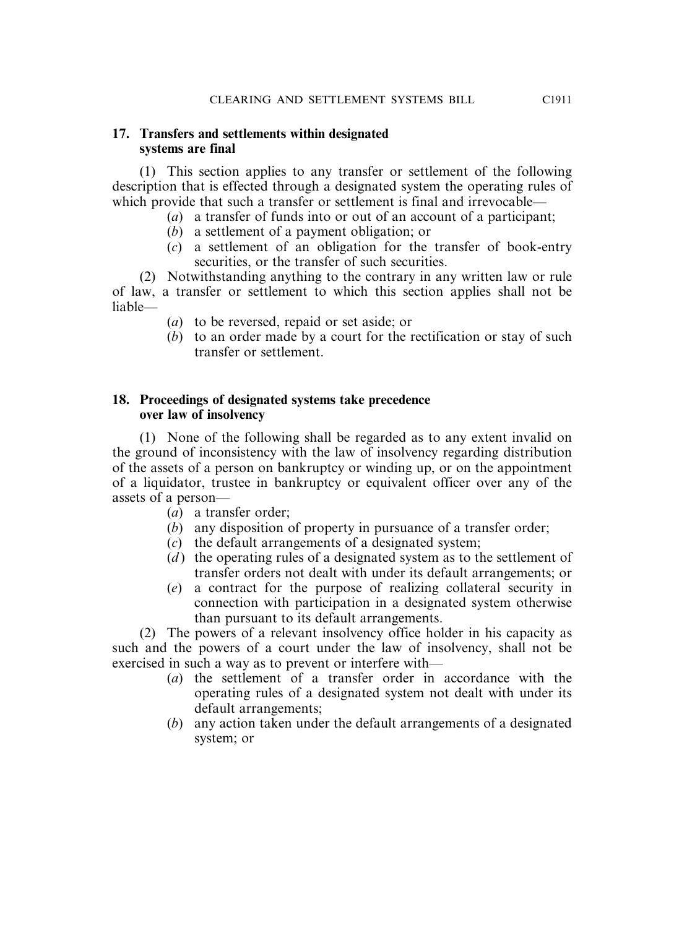#### **17. Transfers and settlements within designated systems are final**

(1) This section applies to any transfer or settlement of the following description that is effected through a designated system the operating rules of which provide that such a transfer or settlement is final and irrevocable—

- (*a*) a transfer of funds into or out of an account of a participant;
- (*b*) a settlement of a payment obligation; or
- (*c*) a settlement of an obligation for the transfer of book-entry securities, or the transfer of such securities.

(2) Notwithstanding anything to the contrary in any written law or rule of law, a transfer or settlement to which this section applies shall not be liable—

- (*a*) to be reversed, repaid or set aside; or
- (*b*) to an order made by a court for the rectification or stay of such transfer or settlement.

# **18. Proceedings of designated systems take precedence over law of insolvency**

(1) None of the following shall be regarded as to any extent invalid on the ground of inconsistency with the law of insolvency regarding distribution of the assets of a person on bankruptcy or winding up, or on the appointment of a liquidator, trustee in bankruptcy or equivalent officer over any of the assets of a person—

- (*a*) a transfer order;
- (*b*) any disposition of property in pursuance of a transfer order;
- (*c*) the default arrangements of a designated system;
- (*d*) the operating rules of a designated system as to the settlement of transfer orders not dealt with under its default arrangements; or
- (*e*) a contract for the purpose of realizing collateral security in connection with participation in a designated system otherwise than pursuant to its default arrangements.

(2) The powers of a relevant insolvency office holder in his capacity as such and the powers of a court under the law of insolvency, shall not be exercised in such a way as to prevent or interfere with—

- (*a*) the settlement of a transfer order in accordance with the operating rules of a designated system not dealt with under its default arrangements;
- (*b*) any action taken under the default arrangements of a designated system; or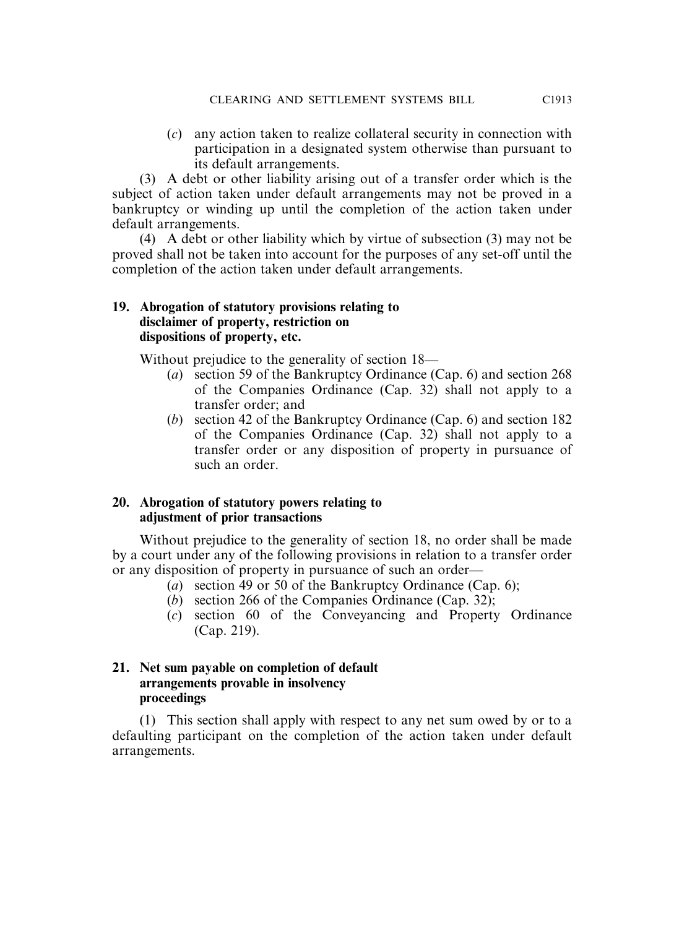(*c*) any action taken to realize collateral security in connection with participation in a designated system otherwise than pursuant to its default arrangements.

(3) A debt or other liability arising out of a transfer order which is the subject of action taken under default arrangements may not be proved in a bankruptcy or winding up until the completion of the action taken under default arrangements.

(4) A debt or other liability which by virtue of subsection (3) may not be proved shall not be taken into account for the purposes of any set-off until the completion of the action taken under default arrangements.

#### **19. Abrogation of statutory provisions relating to disclaimer of property, restriction on dispositions of property, etc.**

Without prejudice to the generality of section 18—

- (*a*) section 59 of the Bankruptcy Ordinance (Cap. 6) and section 268 of the Companies Ordinance (Cap. 32) shall not apply to a transfer order; and
- (*b*) section 42 of the Bankruptcy Ordinance (Cap. 6) and section 182 of the Companies Ordinance (Cap. 32) shall not apply to a transfer order or any disposition of property in pursuance of such an order.

# **20. Abrogation of statutory powers relating to adjustment of prior transactions**

Without prejudice to the generality of section 18, no order shall be made by a court under any of the following provisions in relation to a transfer order or any disposition of property in pursuance of such an order—

- (*a*) section 49 or 50 of the Bankruptcy Ordinance (Cap. 6);
- (*b*) section 266 of the Companies Ordinance (Cap. 32);
- (*c*) section 60 of the Conveyancing and Property Ordinance (Cap. 219).

# **21. Net sum payable on completion of default arrangements provable in insolvency proceedings**

(1) This section shall apply with respect to any net sum owed by or to a defaulting participant on the completion of the action taken under default arrangements.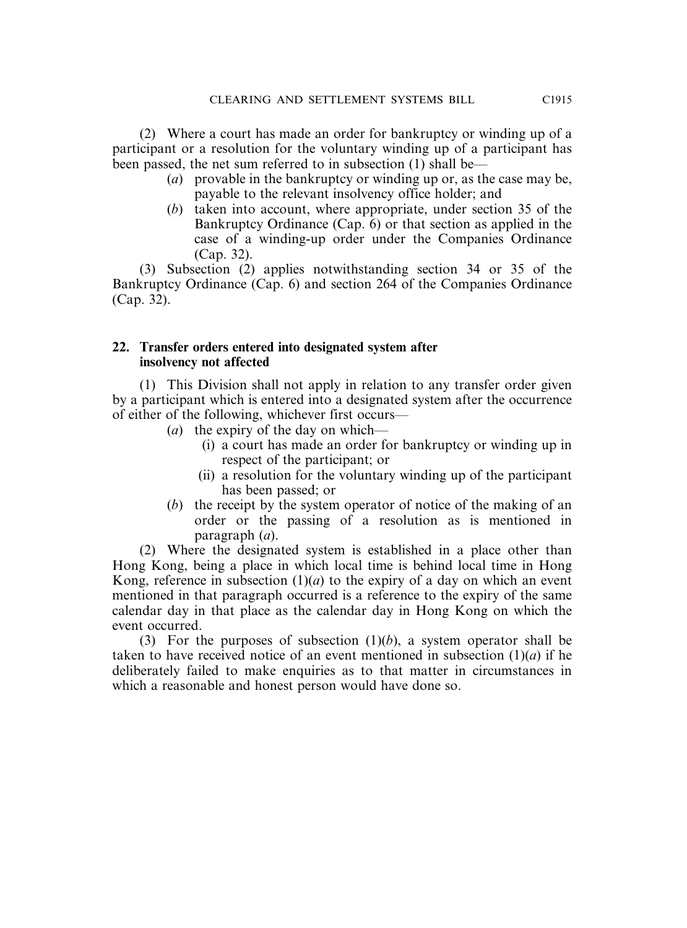(2) Where a court has made an order for bankruptcy or winding up of a participant or a resolution for the voluntary winding up of a participant has been passed, the net sum referred to in subsection (1) shall be—

- (*a*) provable in the bankruptcy or winding up or, as the case may be, payable to the relevant insolvency office holder; and
- (*b*) taken into account, where appropriate, under section 35 of the Bankruptcy Ordinance (Cap. 6) or that section as applied in the case of a winding-up order under the Companies Ordinance (Cap. 32).

(3) Subsection (2) applies notwithstanding section 34 or 35 of the Bankruptcy Ordinance (Cap. 6) and section 264 of the Companies Ordinance (Cap. 32).

#### **22. Transfer orders entered into designated system after insolvency not affected**

(1) This Division shall not apply in relation to any transfer order given by a participant which is entered into a designated system after the occurrence of either of the following, whichever first occurs—

- (*a*) the expiry of the day on which—
	- (i) a court has made an order for bankruptcy or winding up in respect of the participant; or
	- (ii) a resolution for the voluntary winding up of the participant has been passed; or
- (*b*) the receipt by the system operator of notice of the making of an order or the passing of a resolution as is mentioned in paragraph (*a*).

(2) Where the designated system is established in a place other than Hong Kong, being a place in which local time is behind local time in Hong Kong, reference in subsection  $(1)(a)$  to the expiry of a day on which an event mentioned in that paragraph occurred is a reference to the expiry of the same calendar day in that place as the calendar day in Hong Kong on which the event occurred.

(3) For the purposes of subsection  $(1)(b)$ , a system operator shall be taken to have received notice of an event mentioned in subsection  $(1)(a)$  if he deliberately failed to make enquiries as to that matter in circumstances in which a reasonable and honest person would have done so.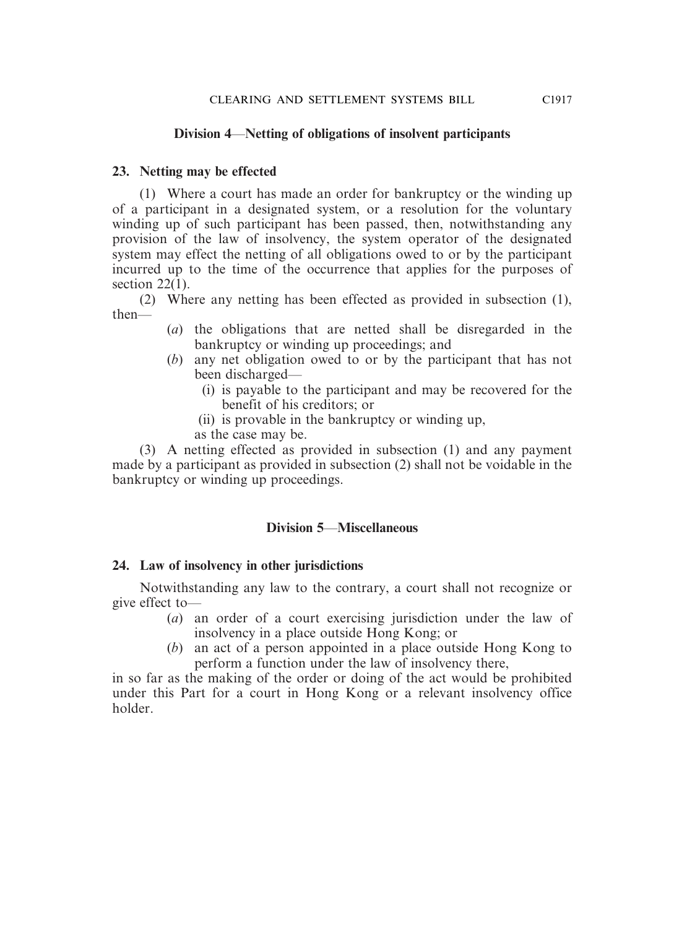#### **Division 4**—**Netting of obligations of insolvent participants**

#### **23. Netting may be effected**

(1) Where a court has made an order for bankruptcy or the winding up of a participant in a designated system, or a resolution for the voluntary winding up of such participant has been passed, then, notwithstanding any provision of the law of insolvency, the system operator of the designated system may effect the netting of all obligations owed to or by the participant incurred up to the time of the occurrence that applies for the purposes of section 22(1).

(2) Where any netting has been effected as provided in subsection (1), then—

- (*a*) the obligations that are netted shall be disregarded in the bankruptcy or winding up proceedings; and
- (*b*) any net obligation owed to or by the participant that has not been discharged—
	- (i) is payable to the participant and may be recovered for the benefit of his creditors; or
	- (ii) is provable in the bankruptcy or winding up,
	- as the case may be.

(3) A netting effected as provided in subsection (1) and any payment made by a participant as provided in subsection (2) shall not be voidable in the bankruptcy or winding up proceedings.

#### **Division 5**—**Miscellaneous**

#### **24. Law of insolvency in other jurisdictions**

Notwithstanding any law to the contrary, a court shall not recognize or give effect to—

- (*a*) an order of a court exercising jurisdiction under the law of insolvency in a place outside Hong Kong; or
- (*b*) an act of a person appointed in a place outside Hong Kong to perform a function under the law of insolvency there,

in so far as the making of the order or doing of the act would be prohibited under this Part for a court in Hong Kong or a relevant insolvency office holder.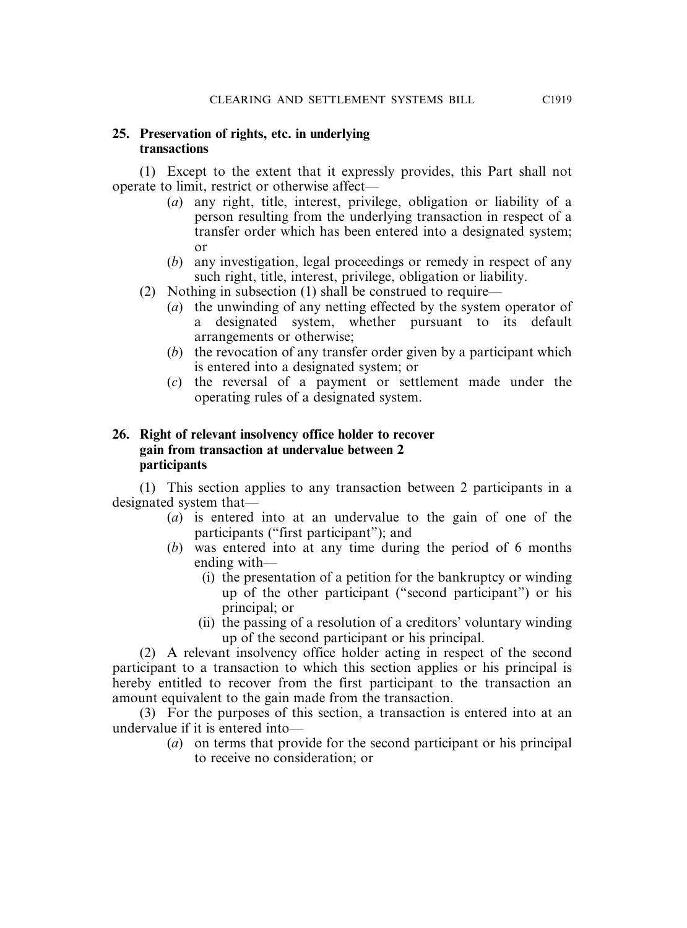#### **25. Preservation of rights, etc. in underlying transactions**

(1) Except to the extent that it expressly provides, this Part shall not operate to limit, restrict or otherwise affect—

- (*a*) any right, title, interest, privilege, obligation or liability of a person resulting from the underlying transaction in respect of a transfer order which has been entered into a designated system; or
- (*b*) any investigation, legal proceedings or remedy in respect of any such right, title, interest, privilege, obligation or liability.
- (2) Nothing in subsection (1) shall be construed to require—
	- (*a*) the unwinding of any netting effected by the system operator of a designated system, whether pursuant to its default arrangements or otherwise;
	- (*b*) the revocation of any transfer order given by a participant which is entered into a designated system; or
	- (*c*) the reversal of a payment or settlement made under the operating rules of a designated system.

#### **26. Right of relevant insolvency office holder to recover gain from transaction at undervalue between 2 participants**

(1) This section applies to any transaction between 2 participants in a designated system that—

- (*a*) is entered into at an undervalue to the gain of one of the participants ("first participant"); and
- (*b*) was entered into at any time during the period of 6 months ending with—
	- (i) the presentation of a petition for the bankruptcy or winding up of the other participant ("second participant") or his principal; or
	- (ii) the passing of a resolution of a creditors' voluntary winding up of the second participant or his principal.

(2) A relevant insolvency office holder acting in respect of the second participant to a transaction to which this section applies or his principal is hereby entitled to recover from the first participant to the transaction an amount equivalent to the gain made from the transaction.

(3) For the purposes of this section, a transaction is entered into at an undervalue if it is entered into—

(*a*) on terms that provide for the second participant or his principal to receive no consideration; or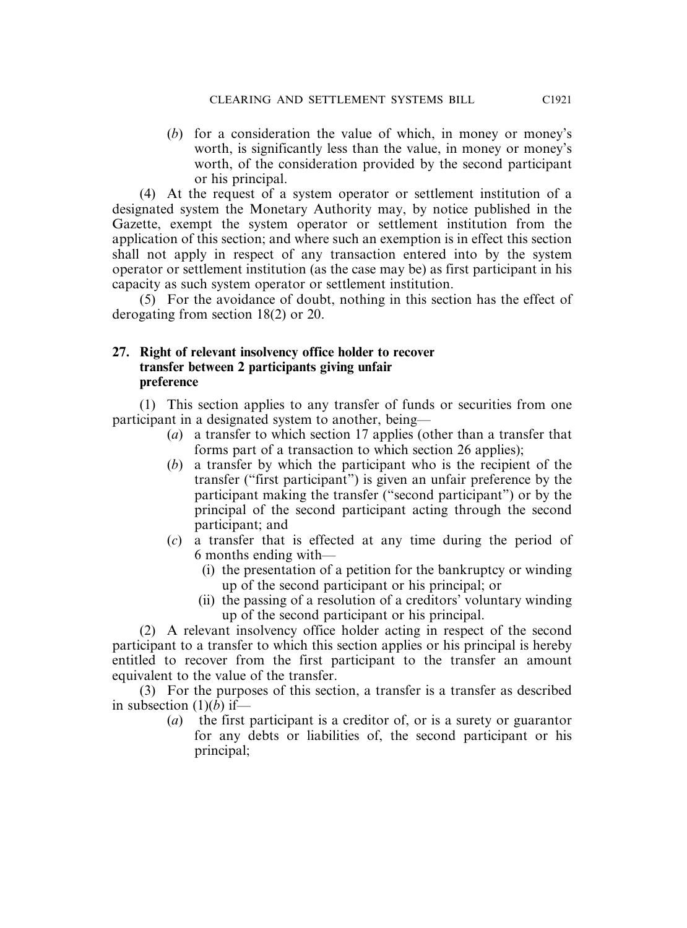(*b*) for a consideration the value of which, in money or money's worth, is significantly less than the value, in money or money's worth, of the consideration provided by the second participant or his principal.

(4) At the request of a system operator or settlement institution of a designated system the Monetary Authority may, by notice published in the Gazette, exempt the system operator or settlement institution from the application of this section; and where such an exemption is in effect this section shall not apply in respect of any transaction entered into by the system operator or settlement institution (as the case may be) as first participant in his capacity as such system operator or settlement institution.

(5) For the avoidance of doubt, nothing in this section has the effect of derogating from section 18(2) or 20.

#### **27. Right of relevant insolvency office holder to recover transfer between 2 participants giving unfair preference**

(1) This section applies to any transfer of funds or securities from one participant in a designated system to another, being—

- (*a*) a transfer to which section 17 applies (other than a transfer that forms part of a transaction to which section 26 applies);
- (*b*) a transfer by which the participant who is the recipient of the transfer ("first participant") is given an unfair preference by the participant making the transfer ("second participant") or by the principal of the second participant acting through the second participant; and
- (*c*) a transfer that is effected at any time during the period of 6 months ending with—
	- (i) the presentation of a petition for the bankruptcy or winding up of the second participant or his principal; or
	- (ii) the passing of a resolution of a creditors' voluntary winding up of the second participant or his principal.

(2) A relevant insolvency office holder acting in respect of the second participant to a transfer to which this section applies or his principal is hereby entitled to recover from the first participant to the transfer an amount equivalent to the value of the transfer.

(3) For the purposes of this section, a transfer is a transfer as described in subsection (1)(*b*) if—

(*a*) the first participant is a creditor of, or is a surety or guarantor for any debts or liabilities of, the second participant or his principal;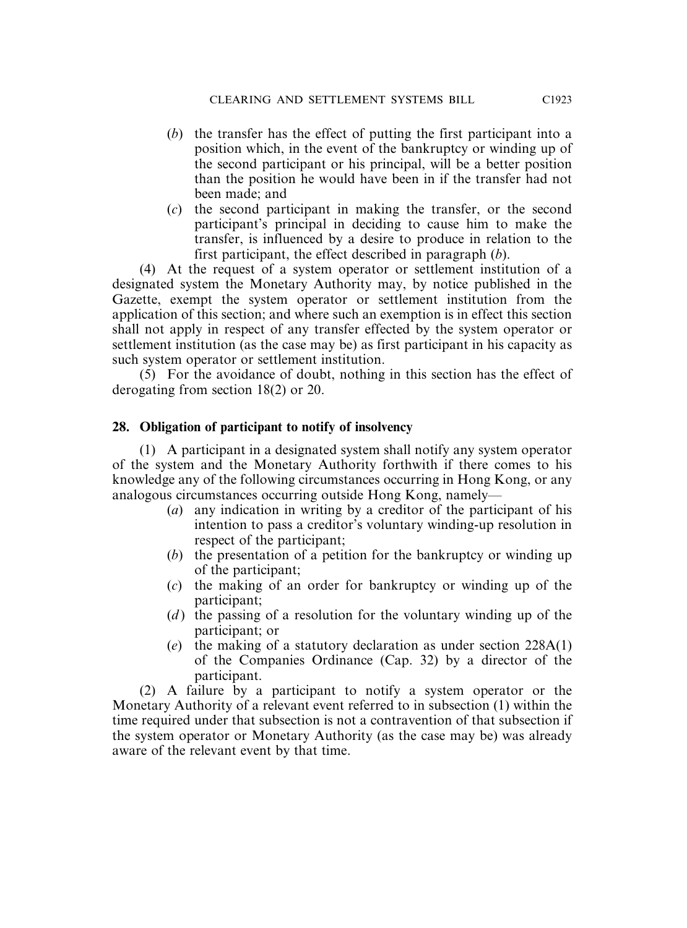- (*b*) the transfer has the effect of putting the first participant into a position which, in the event of the bankruptcy or winding up of the second participant or his principal, will be a better position than the position he would have been in if the transfer had not been made; and
- (*c*) the second participant in making the transfer, or the second participant's principal in deciding to cause him to make the transfer, is influenced by a desire to produce in relation to the first participant, the effect described in paragraph (*b*).

(4) At the request of a system operator or settlement institution of a designated system the Monetary Authority may, by notice published in the Gazette, exempt the system operator or settlement institution from the application of this section; and where such an exemption is in effect this section shall not apply in respect of any transfer effected by the system operator or settlement institution (as the case may be) as first participant in his capacity as such system operator or settlement institution.

(5) For the avoidance of doubt, nothing in this section has the effect of derogating from section 18(2) or 20.

#### **28. Obligation of participant to notify of insolvency**

(1) A participant in a designated system shall notify any system operator of the system and the Monetary Authority forthwith if there comes to his knowledge any of the following circumstances occurring in Hong Kong, or any analogous circumstances occurring outside Hong Kong, namely—

- (*a*) any indication in writing by a creditor of the participant of his intention to pass a creditor's voluntary winding-up resolution in respect of the participant;
- (*b*) the presentation of a petition for the bankruptcy or winding up of the participant;
- (*c*) the making of an order for bankruptcy or winding up of the participant;
- (*d*) the passing of a resolution for the voluntary winding up of the participant; or
- (*e*) the making of a statutory declaration as under section 228A(1) of the Companies Ordinance (Cap. 32) by a director of the participant.

(2) A failure by a participant to notify a system operator or the Monetary Authority of a relevant event referred to in subsection (1) within the time required under that subsection is not a contravention of that subsection if the system operator or Monetary Authority (as the case may be) was already aware of the relevant event by that time.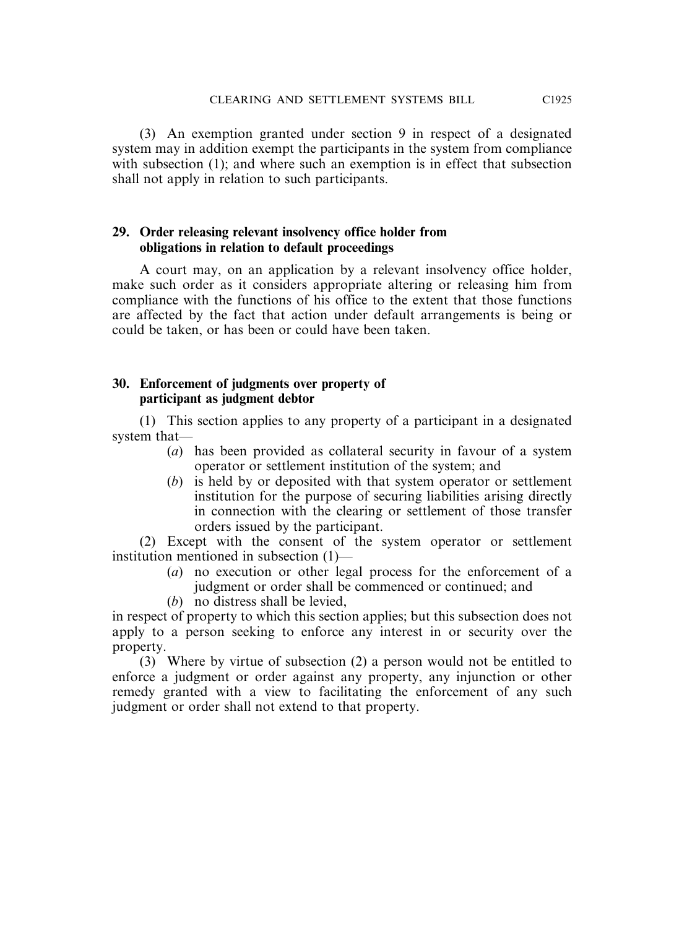(3) An exemption granted under section 9 in respect of a designated system may in addition exempt the participants in the system from compliance with subsection (1); and where such an exemption is in effect that subsection shall not apply in relation to such participants.

#### **29. Order releasing relevant insolvency office holder from obligations in relation to default proceedings**

A court may, on an application by a relevant insolvency office holder, make such order as it considers appropriate altering or releasing him from compliance with the functions of his office to the extent that those functions are affected by the fact that action under default arrangements is being or could be taken, or has been or could have been taken.

#### **30. Enforcement of judgments over property of participant as judgment debtor**

(1) This section applies to any property of a participant in a designated system that—

- (*a*) has been provided as collateral security in favour of a system operator or settlement institution of the system; and
- (*b*) is held by or deposited with that system operator or settlement institution for the purpose of securing liabilities arising directly in connection with the clearing or settlement of those transfer orders issued by the participant.

(2) Except with the consent of the system operator or settlement institution mentioned in subsection (1)—

- (*a*) no execution or other legal process for the enforcement of a judgment or order shall be commenced or continued; and
- (*b*) no distress shall be levied,

in respect of property to which this section applies; but this subsection does not apply to a person seeking to enforce any interest in or security over the property.

(3) Where by virtue of subsection (2) a person would not be entitled to enforce a judgment or order against any property, any injunction or other remedy granted with a view to facilitating the enforcement of any such judgment or order shall not extend to that property.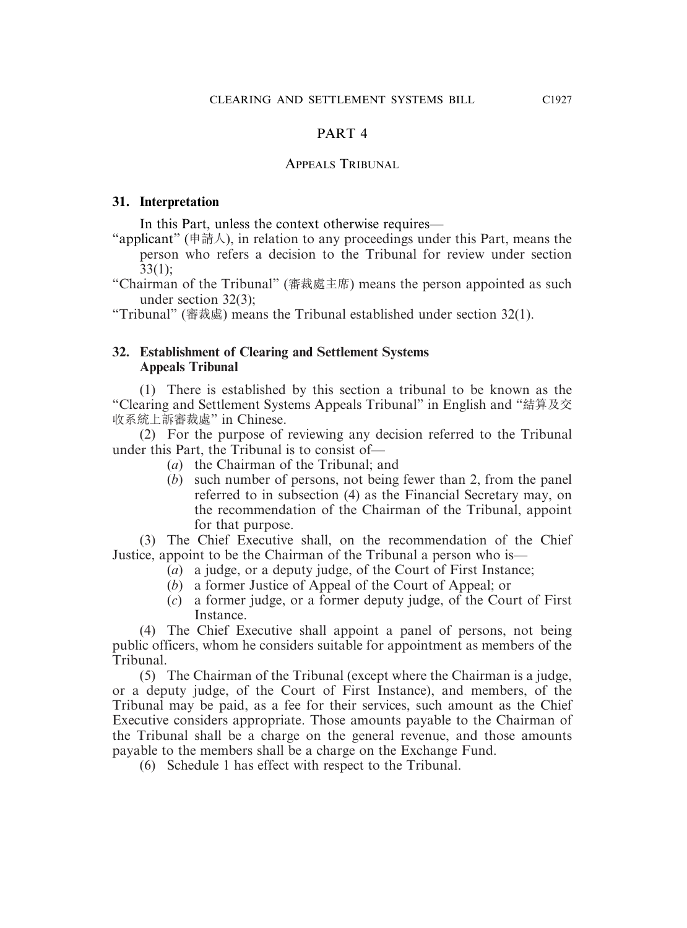#### PART 4

#### APPEALS TRIBUNAL

#### **31. Interpretation**

In this Part, unless the context otherwise requires—

"applicant" (申請人), in relation to any proceedings under this Part, means the person who refers a decision to the Tribunal for review under section 33(1);

"Chairman of the Tribunal" (審裁處主席) means the person appointed as such under section 32(3);

"Tribunal" (審裁處) means the Tribunal established under section 32(1).

#### **32. Establishment of Clearing and Settlement Systems Appeals Tribunal**

(1) There is established by this section a tribunal to be known as the "Clearing and Settlement Systems Appeals Tribunal" in English and "結算及交 收系統上訴審裁處" in Chinese.

(2) For the purpose of reviewing any decision referred to the Tribunal under this Part, the Tribunal is to consist of—

- (*a*) the Chairman of the Tribunal; and
- (*b*) such number of persons, not being fewer than 2, from the panel referred to in subsection (4) as the Financial Secretary may, on the recommendation of the Chairman of the Tribunal, appoint for that purpose.

(3) The Chief Executive shall, on the recommendation of the Chief Justice, appoint to be the Chairman of the Tribunal a person who is—

- (*a*) a judge, or a deputy judge, of the Court of First Instance;
- (*b*) a former Justice of Appeal of the Court of Appeal; or
- (*c*) a former judge, or a former deputy judge, of the Court of First Instance.

(4) The Chief Executive shall appoint a panel of persons, not being public officers, whom he considers suitable for appointment as members of the Tribunal.

(5) The Chairman of the Tribunal (except where the Chairman is a judge, or a deputy judge, of the Court of First Instance), and members, of the Tribunal may be paid, as a fee for their services, such amount as the Chief Executive considers appropriate. Those amounts payable to the Chairman of the Tribunal shall be a charge on the general revenue, and those amounts payable to the members shall be a charge on the Exchange Fund.

(6) Schedule 1 has effect with respect to the Tribunal.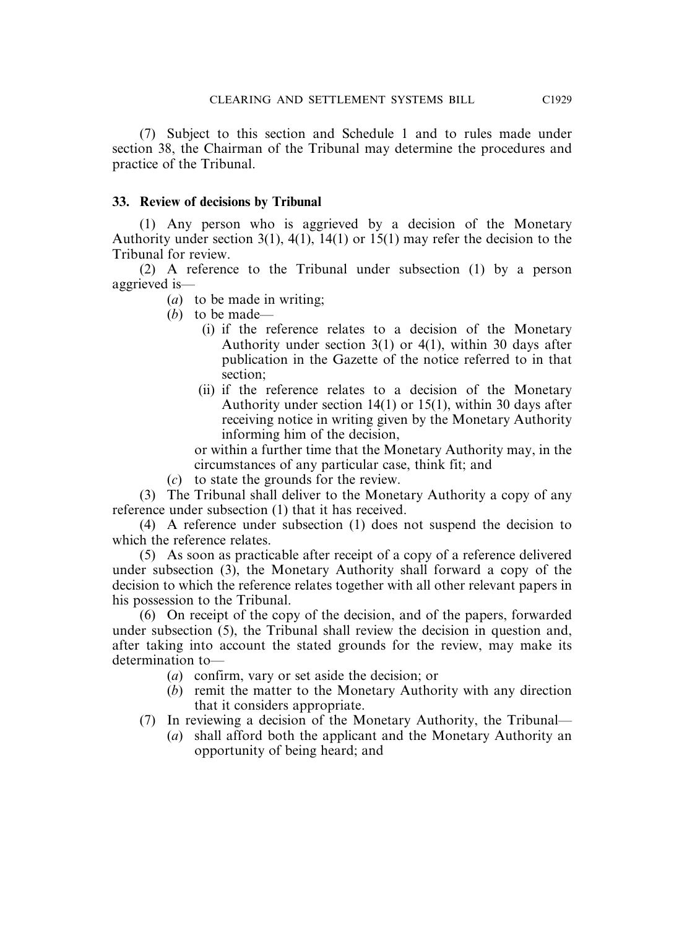(7) Subject to this section and Schedule 1 and to rules made under section 38, the Chairman of the Tribunal may determine the procedures and practice of the Tribunal.

#### **33. Review of decisions by Tribunal**

(1) Any person who is aggrieved by a decision of the Monetary Authority under section 3(1), 4(1), 14(1) or 15(1) may refer the decision to the Tribunal for review.

(2) A reference to the Tribunal under subsection (1) by a person aggrieved is—

(*a*) to be made in writing;

- (*b*) to be made—
	- (i) if the reference relates to a decision of the Monetary Authority under section 3(1) or 4(1), within 30 days after publication in the Gazette of the notice referred to in that section;
	- (ii) if the reference relates to a decision of the Monetary Authority under section 14(1) or 15(1), within 30 days after receiving notice in writing given by the Monetary Authority informing him of the decision,

or within a further time that the Monetary Authority may, in the circumstances of any particular case, think fit; and

(*c*) to state the grounds for the review.

(3) The Tribunal shall deliver to the Monetary Authority a copy of any reference under subsection (1) that it has received.

(4) A reference under subsection (1) does not suspend the decision to which the reference relates.

(5) As soon as practicable after receipt of a copy of a reference delivered under subsection (3), the Monetary Authority shall forward a copy of the decision to which the reference relates together with all other relevant papers in his possession to the Tribunal.

(6) On receipt of the copy of the decision, and of the papers, forwarded under subsection (5), the Tribunal shall review the decision in question and, after taking into account the stated grounds for the review, may make its determination to—

- (*a*) confirm, vary or set aside the decision; or
- (*b*) remit the matter to the Monetary Authority with any direction that it considers appropriate.
- (7) In reviewing a decision of the Monetary Authority, the Tribunal—
	- (*a*) shall afford both the applicant and the Monetary Authority an opportunity of being heard; and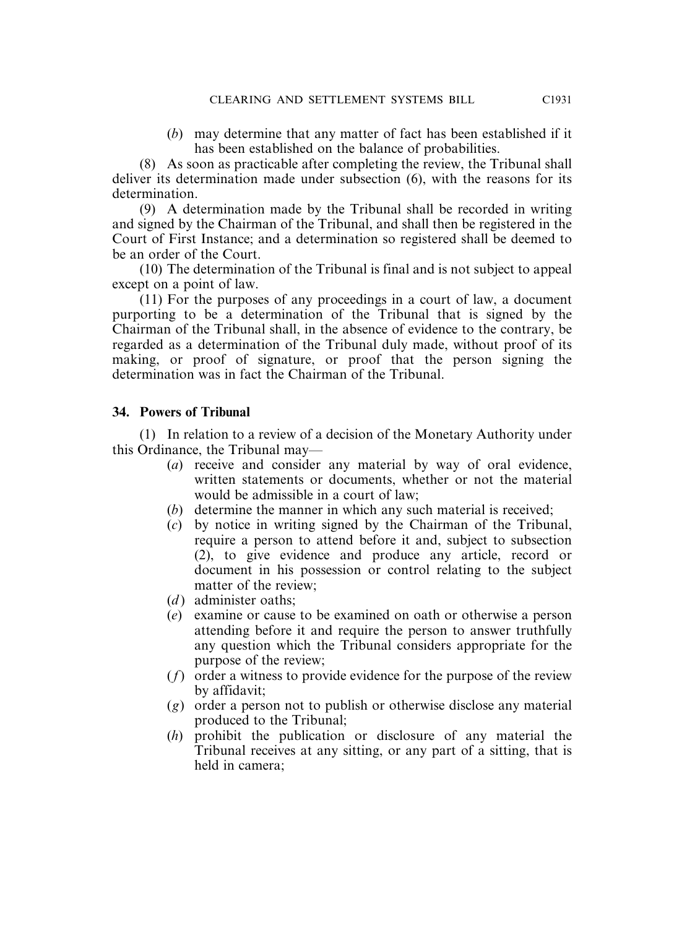(*b*) may determine that any matter of fact has been established if it has been established on the balance of probabilities.

(8) As soon as practicable after completing the review, the Tribunal shall deliver its determination made under subsection (6), with the reasons for its determination.

(9) A determination made by the Tribunal shall be recorded in writing and signed by the Chairman of the Tribunal, and shall then be registered in the Court of First Instance; and a determination so registered shall be deemed to be an order of the Court.

(10) The determination of the Tribunal is final and is not subject to appeal except on a point of law.

(11) For the purposes of any proceedings in a court of law, a document purporting to be a determination of the Tribunal that is signed by the Chairman of the Tribunal shall, in the absence of evidence to the contrary, be regarded as a determination of the Tribunal duly made, without proof of its making, or proof of signature, or proof that the person signing the determination was in fact the Chairman of the Tribunal.

#### **34. Powers of Tribunal**

(1) In relation to a review of a decision of the Monetary Authority under this Ordinance, the Tribunal may—

- (*a*) receive and consider any material by way of oral evidence, written statements or documents, whether or not the material would be admissible in a court of law;
- (*b*) determine the manner in which any such material is received;
- (*c*) by notice in writing signed by the Chairman of the Tribunal, require a person to attend before it and, subject to subsection (2), to give evidence and produce any article, record or document in his possession or control relating to the subject matter of the review;
- (*d*) administer oaths:
- (*e*) examine or cause to be examined on oath or otherwise a person attending before it and require the person to answer truthfully any question which the Tribunal considers appropriate for the purpose of the review;
- (*f*) order a witness to provide evidence for the purpose of the review by affidavit;
- (*g*) order a person not to publish or otherwise disclose any material produced to the Tribunal;
- (*h*) prohibit the publication or disclosure of any material the Tribunal receives at any sitting, or any part of a sitting, that is held in camera;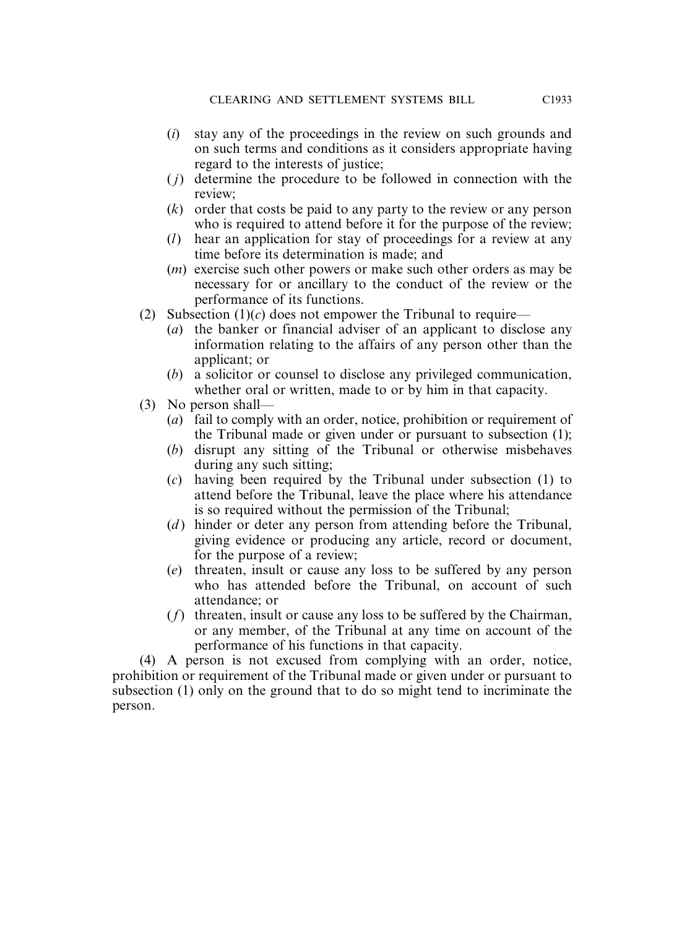- (*i*) stay any of the proceedings in the review on such grounds and on such terms and conditions as it considers appropriate having regard to the interests of justice;
- ( *j*) determine the procedure to be followed in connection with the review;
- (*k*) order that costs be paid to any party to the review or any person who is required to attend before it for the purpose of the review;
- (*l*) hear an application for stay of proceedings for a review at any time before its determination is made; and
- (*m*) exercise such other powers or make such other orders as may be necessary for or ancillary to the conduct of the review or the performance of its functions.
- (2) Subsection  $(1)(c)$  does not empower the Tribunal to require—
	- (*a*) the banker or financial adviser of an applicant to disclose any information relating to the affairs of any person other than the applicant; or
	- (*b*) a solicitor or counsel to disclose any privileged communication, whether oral or written, made to or by him in that capacity.
- (3) No person shall—
	- (*a*) fail to comply with an order, notice, prohibition or requirement of the Tribunal made or given under or pursuant to subsection (1);
	- (*b*) disrupt any sitting of the Tribunal or otherwise misbehaves during any such sitting;
	- (*c*) having been required by the Tribunal under subsection (1) to attend before the Tribunal, leave the place where his attendance is so required without the permission of the Tribunal;
	- (*d*) hinder or deter any person from attending before the Tribunal, giving evidence or producing any article, record or document, for the purpose of a review;
	- (*e*) threaten, insult or cause any loss to be suffered by any person who has attended before the Tribunal, on account of such attendance; or
	- (*f*) threaten, insult or cause any loss to be suffered by the Chairman, or any member, of the Tribunal at any time on account of the performance of his functions in that capacity.

(4) A person is not excused from complying with an order, notice, prohibition or requirement of the Tribunal made or given under or pursuant to subsection (1) only on the ground that to do so might tend to incriminate the person.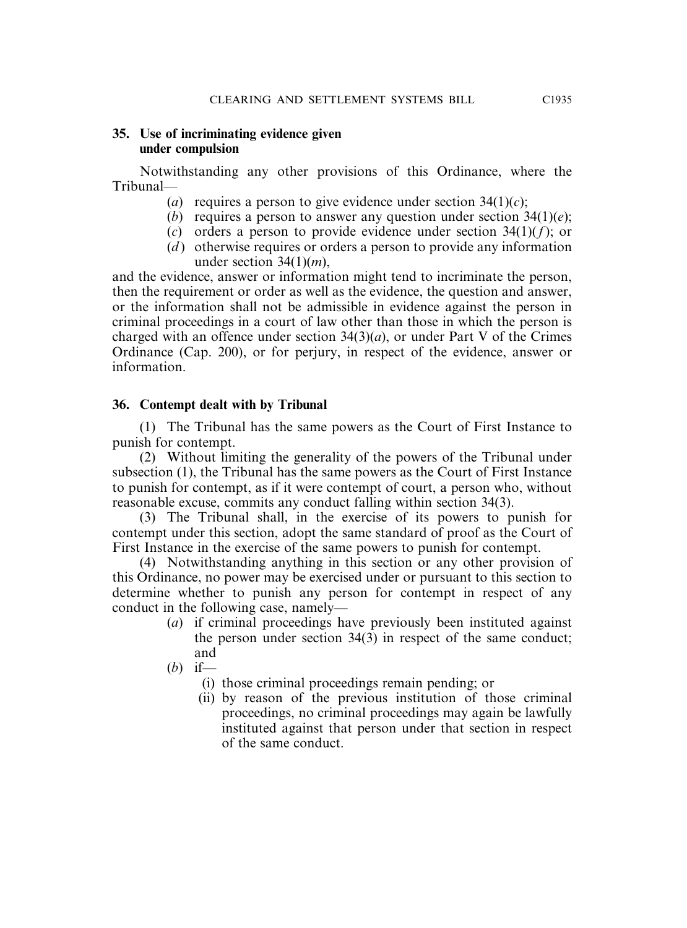#### **35. Use of incriminating evidence given under compulsion**

Notwithstanding any other provisions of this Ordinance, where the Tribunal—

- (*a*) requires a person to give evidence under section  $34(1)(c)$ ;
- (*b*) requires a person to answer any question under section 34(1)(*e*);
- (*c*) orders a person to provide evidence under section 34(1)(*f*); or
- (*d*) otherwise requires or orders a person to provide any information under section 34(1)(*m*),

and the evidence, answer or information might tend to incriminate the person, then the requirement or order as well as the evidence, the question and answer, or the information shall not be admissible in evidence against the person in criminal proceedings in a court of law other than those in which the person is charged with an offence under section 34(3)(*a*), or under Part V of the Crimes Ordinance (Cap. 200), or for perjury, in respect of the evidence, answer or information.

# **36. Contempt dealt with by Tribunal**

(1) The Tribunal has the same powers as the Court of First Instance to punish for contempt.

(2) Without limiting the generality of the powers of the Tribunal under subsection (1), the Tribunal has the same powers as the Court of First Instance to punish for contempt, as if it were contempt of court, a person who, without reasonable excuse, commits any conduct falling within section 34(3).

(3) The Tribunal shall, in the exercise of its powers to punish for contempt under this section, adopt the same standard of proof as the Court of First Instance in the exercise of the same powers to punish for contempt.

(4) Notwithstanding anything in this section or any other provision of this Ordinance, no power may be exercised under or pursuant to this section to determine whether to punish any person for contempt in respect of any conduct in the following case, namely—

- (*a*) if criminal proceedings have previously been instituted against the person under section 34(3) in respect of the same conduct; and
- (*b*) if—
	- (i) those criminal proceedings remain pending; or
	- (ii) by reason of the previous institution of those criminal proceedings, no criminal proceedings may again be lawfully instituted against that person under that section in respect of the same conduct.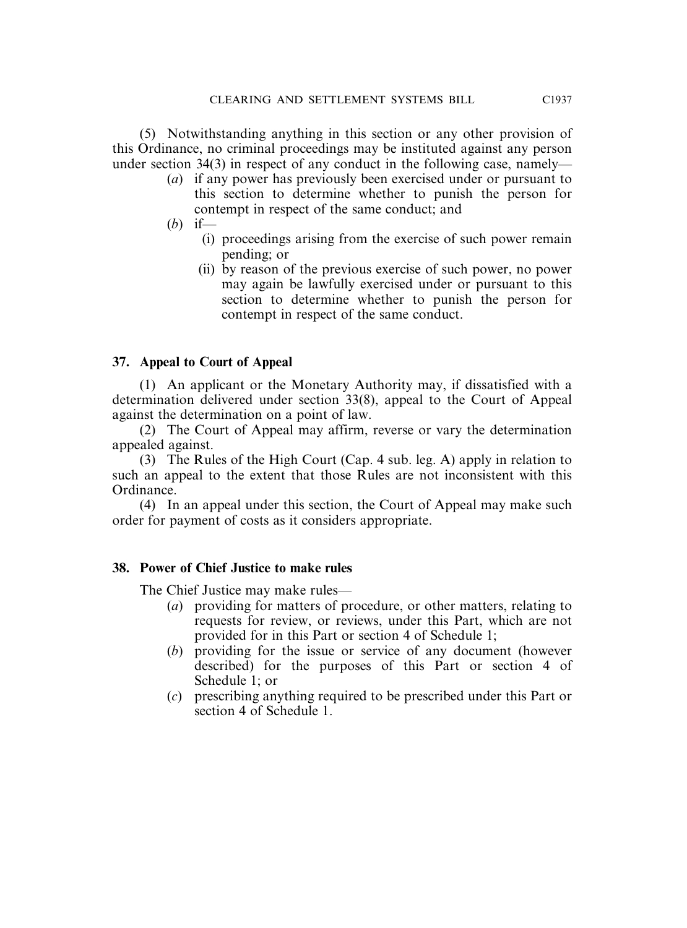(5) Notwithstanding anything in this section or any other provision of this Ordinance, no criminal proceedings may be instituted against any person under section 34(3) in respect of any conduct in the following case, namely—

- (*a*) if any power has previously been exercised under or pursuant to this section to determine whether to punish the person for contempt in respect of the same conduct; and
- (*b*) if—
	- (i) proceedings arising from the exercise of such power remain pending; or
	- (ii) by reason of the previous exercise of such power, no power may again be lawfully exercised under or pursuant to this section to determine whether to punish the person for contempt in respect of the same conduct.

# **37. Appeal to Court of Appeal**

(1) An applicant or the Monetary Authority may, if dissatisfied with a determination delivered under section 33(8), appeal to the Court of Appeal against the determination on a point of law.

(2) The Court of Appeal may affirm, reverse or vary the determination appealed against.

(3) The Rules of the High Court (Cap. 4 sub. leg. A) apply in relation to such an appeal to the extent that those Rules are not inconsistent with this Ordinance.

(4) In an appeal under this section, the Court of Appeal may make such order for payment of costs as it considers appropriate.

# **38. Power of Chief Justice to make rules**

The Chief Justice may make rules—

- (*a*) providing for matters of procedure, or other matters, relating to requests for review, or reviews, under this Part, which are not provided for in this Part or section 4 of Schedule 1;
- (*b*) providing for the issue or service of any document (however described) for the purposes of this Part or section 4 of Schedule 1; or
- (*c*) prescribing anything required to be prescribed under this Part or section 4 of Schedule 1.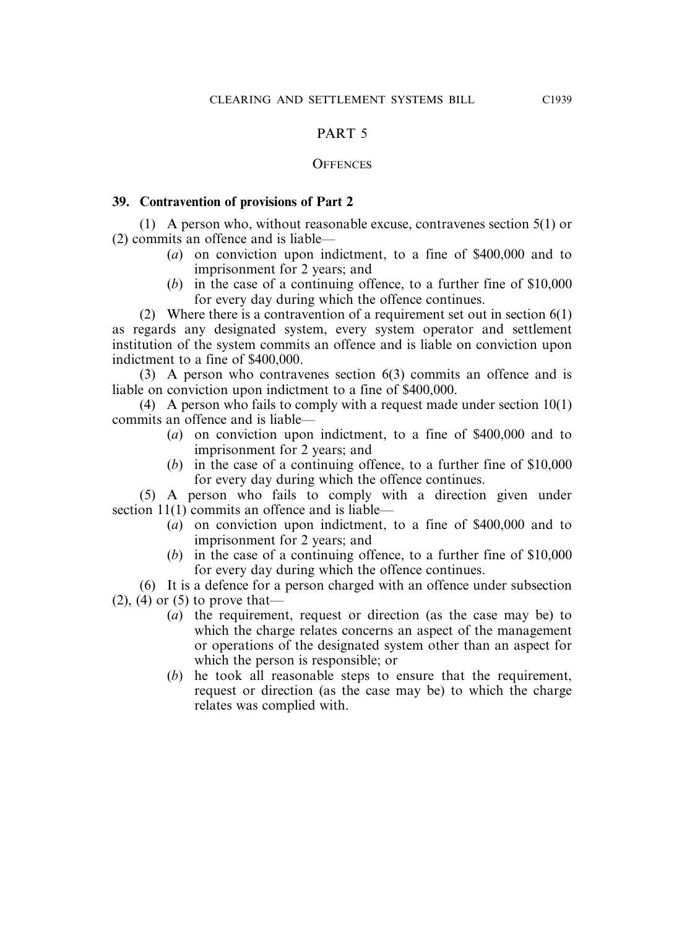# PART 5

#### **OFFENCES**

# **39. Contravention of provisions of Part 2**

(1) A person who, without reasonable excuse, contravenes section 5(1) or (2) commits an offence and is liable—

- (*a*) on conviction upon indictment, to a fine of \$400,000 and to imprisonment for 2 years; and
- (*b*) in the case of a continuing offence, to a further fine of \$10,000 for every day during which the offence continues.

(2) Where there is a contravention of a requirement set out in section  $6(1)$ as regards any designated system, every system operator and settlement institution of the system commits an offence and is liable on conviction upon indictment to a fine of \$400,000.

(3) A person who contravenes section 6(3) commits an offence and is liable on conviction upon indictment to a fine of \$400,000.

(4) A person who fails to comply with a request made under section 10(1) commits an offence and is liable—

- (*a*) on conviction upon indictment, to a fine of \$400,000 and to imprisonment for 2 years; and
- (*b*) in the case of a continuing offence, to a further fine of \$10,000 for every day during which the offence continues.

(5) A person who fails to comply with a direction given under section 11(1) commits an offence and is liable—

- (*a*) on conviction upon indictment, to a fine of \$400,000 and to imprisonment for 2 years; and
- (*b*) in the case of a continuing offence, to a further fine of \$10,000 for every day during which the offence continues.

(6) It is a defence for a person charged with an offence under subsection

 $(2)$ ,  $(4)$  or  $(5)$  to prove that—

- (*a*) the requirement, request or direction (as the case may be) to which the charge relates concerns an aspect of the management or operations of the designated system other than an aspect for which the person is responsible; or
- (*b*) he took all reasonable steps to ensure that the requirement, request or direction (as the case may be) to which the charge relates was complied with.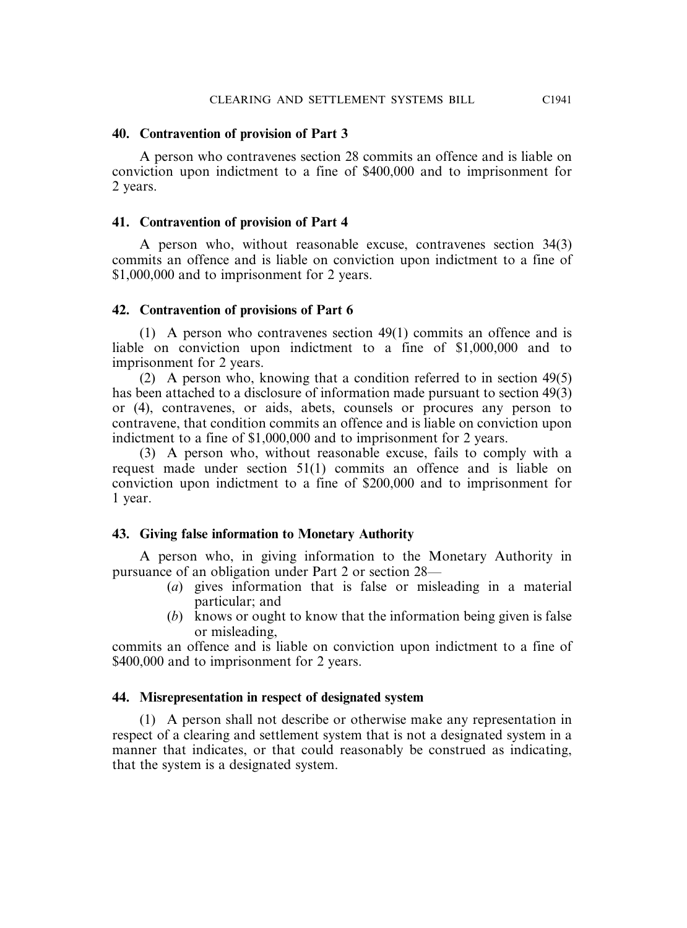#### **40. Contravention of provision of Part 3**

A person who contravenes section 28 commits an offence and is liable on conviction upon indictment to a fine of \$400,000 and to imprisonment for 2 years.

#### **41. Contravention of provision of Part 4**

A person who, without reasonable excuse, contravenes section 34(3) commits an offence and is liable on conviction upon indictment to a fine of \$1,000,000 and to imprisonment for 2 years.

# **42. Contravention of provisions of Part 6**

(1) A person who contravenes section 49(1) commits an offence and is liable on conviction upon indictment to a fine of \$1,000,000 and to imprisonment for 2 years.

(2) A person who, knowing that a condition referred to in section 49(5) has been attached to a disclosure of information made pursuant to section 49(3) or (4), contravenes, or aids, abets, counsels or procures any person to contravene, that condition commits an offence and is liable on conviction upon indictment to a fine of \$1,000,000 and to imprisonment for 2 years.

(3) A person who, without reasonable excuse, fails to comply with a request made under section 51(1) commits an offence and is liable on conviction upon indictment to a fine of \$200,000 and to imprisonment for 1 year.

# **43. Giving false information to Monetary Authority**

A person who, in giving information to the Monetary Authority in pursuance of an obligation under Part 2 or section 28—

- (*a*) gives information that is false or misleading in a material particular; and
- (*b*) knows or ought to know that the information being given is false or misleading,

commits an offence and is liable on conviction upon indictment to a fine of \$400,000 and to imprisonment for 2 years.

# **44. Misrepresentation in respect of designated system**

(1) A person shall not describe or otherwise make any representation in respect of a clearing and settlement system that is not a designated system in a manner that indicates, or that could reasonably be construed as indicating, that the system is a designated system.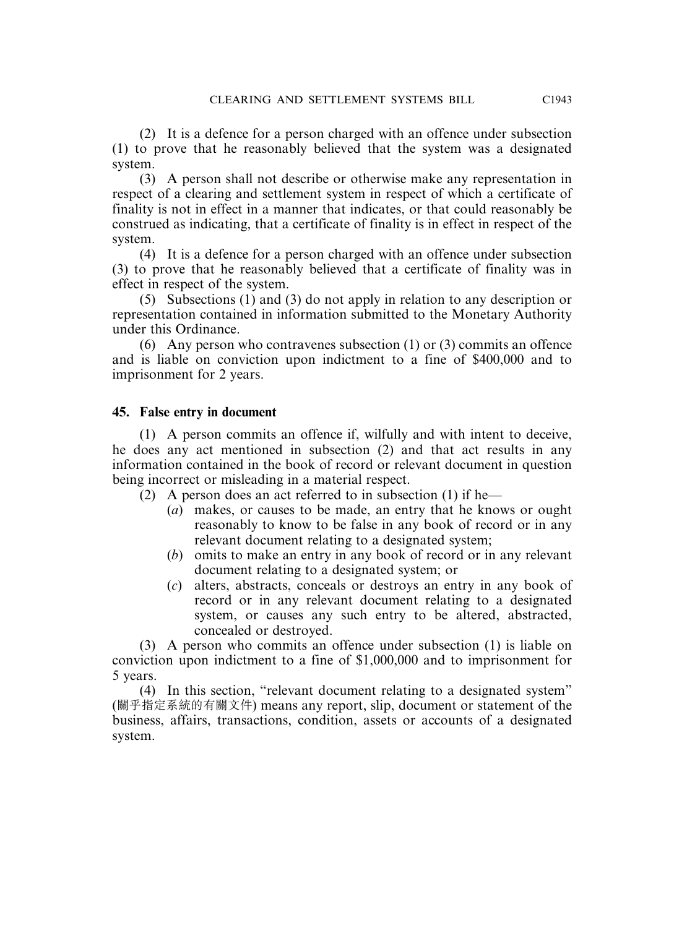(2) It is a defence for a person charged with an offence under subsection (1) to prove that he reasonably believed that the system was a designated system.

(3) A person shall not describe or otherwise make any representation in respect of a clearing and settlement system in respect of which a certificate of finality is not in effect in a manner that indicates, or that could reasonably be construed as indicating, that a certificate of finality is in effect in respect of the system.

(4) It is a defence for a person charged with an offence under subsection (3) to prove that he reasonably believed that a certificate of finality was in effect in respect of the system.

(5) Subsections (1) and (3) do not apply in relation to any description or representation contained in information submitted to the Monetary Authority under this Ordinance.

(6) Any person who contravenes subsection (1) or (3) commits an offence and is liable on conviction upon indictment to a fine of \$400,000 and to imprisonment for 2 years.

# **45. False entry in document**

(1) A person commits an offence if, wilfully and with intent to deceive, he does any act mentioned in subsection (2) and that act results in any information contained in the book of record or relevant document in question being incorrect or misleading in a material respect.

(2) A person does an act referred to in subsection (1) if he—

- (*a*) makes, or causes to be made, an entry that he knows or ought reasonably to know to be false in any book of record or in any relevant document relating to a designated system;
- (*b*) omits to make an entry in any book of record or in any relevant document relating to a designated system; or
- (*c*) alters, abstracts, conceals or destroys an entry in any book of record or in any relevant document relating to a designated system, or causes any such entry to be altered, abstracted, concealed or destroyed.

(3) A person who commits an offence under subsection (1) is liable on conviction upon indictment to a fine of \$1,000,000 and to imprisonment for 5 years.

(4) In this section, "relevant document relating to a designated system" (關乎指定系統的有關文件) means any report, slip, document or statement of the business, affairs, transactions, condition, assets or accounts of a designated system.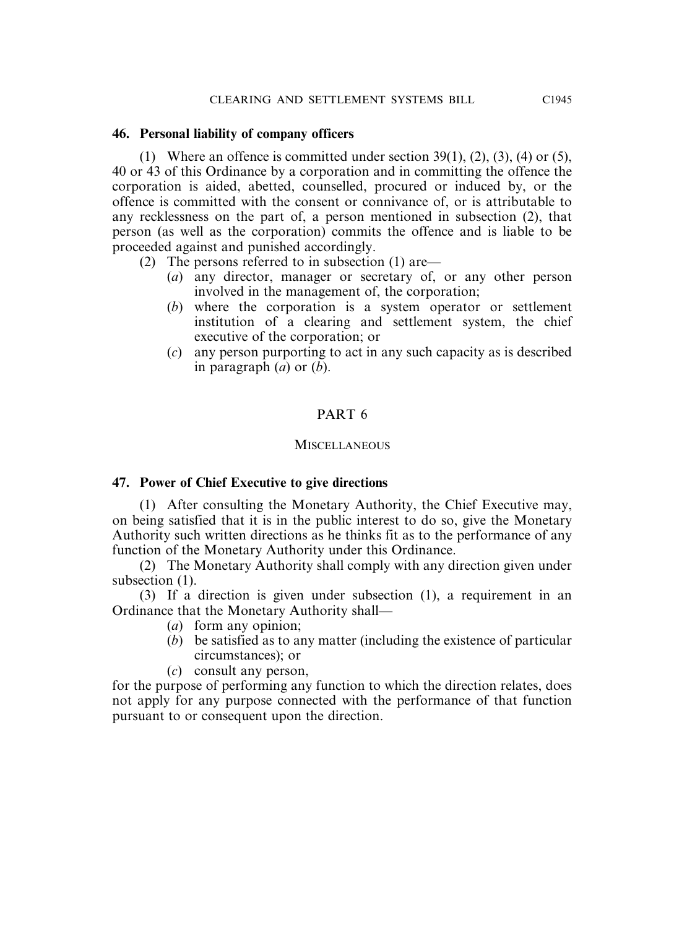#### **46. Personal liability of company officers**

(1) Where an offence is committed under section  $39(1)$ ,  $(2)$ ,  $(3)$ ,  $(4)$  or  $(5)$ , 40 or 43 of this Ordinance by a corporation and in committing the offence the corporation is aided, abetted, counselled, procured or induced by, or the offence is committed with the consent or connivance of, or is attributable to any recklessness on the part of, a person mentioned in subsection (2), that person (as well as the corporation) commits the offence and is liable to be proceeded against and punished accordingly.

- (2) The persons referred to in subsection (1) are—
	- (*a*) any director, manager or secretary of, or any other person involved in the management of, the corporation;
	- (*b*) where the corporation is a system operator or settlement institution of a clearing and settlement system, the chief executive of the corporation; or
	- (*c*) any person purporting to act in any such capacity as is described in paragraph (*a*) or (*b*).

# PART 6

#### **MISCELLANEOUS**

# **47. Power of Chief Executive to give directions**

(1) After consulting the Monetary Authority, the Chief Executive may, on being satisfied that it is in the public interest to do so, give the Monetary Authority such written directions as he thinks fit as to the performance of any function of the Monetary Authority under this Ordinance.

(2) The Monetary Authority shall comply with any direction given under subsection (1).

(3) If a direction is given under subsection (1), a requirement in an Ordinance that the Monetary Authority shall—

- (*a*) form any opinion;
- (*b*) be satisfied as to any matter (including the existence of particular circumstances); or
- (*c*) consult any person,

for the purpose of performing any function to which the direction relates, does not apply for any purpose connected with the performance of that function pursuant to or consequent upon the direction.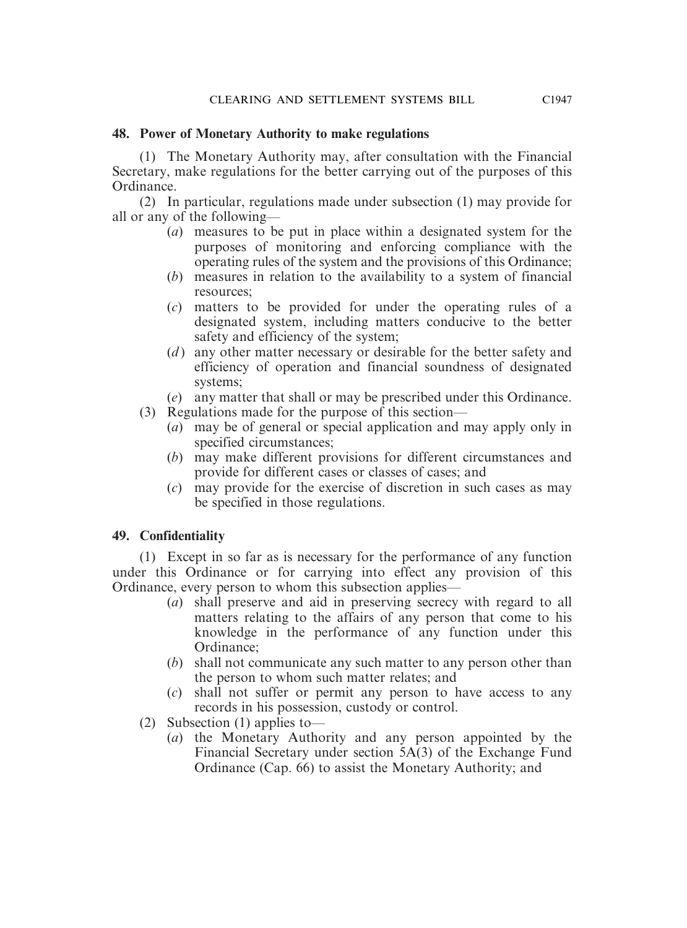# **48. Power of Monetary Authority to make regulations**

(1) The Monetary Authority may, after consultation with the Financial Secretary, make regulations for the better carrying out of the purposes of this Ordinance.

(2) In particular, regulations made under subsection (1) may provide for all or any of the following—

- (*a*) measures to be put in place within a designated system for the purposes of monitoring and enforcing compliance with the operating rules of the system and the provisions of this Ordinance;
- (*b*) measures in relation to the availability to a system of financial resources;
- (*c*) matters to be provided for under the operating rules of a designated system, including matters conducive to the better safety and efficiency of the system;
- (*d*) any other matter necessary or desirable for the better safety and efficiency of operation and financial soundness of designated systems;
- (*e*) any matter that shall or may be prescribed under this Ordinance.
- (3) Regulations made for the purpose of this section—
	- (*a*) may be of general or special application and may apply only in specified circumstances;
	- (*b*) may make different provisions for different circumstances and provide for different cases or classes of cases; and
	- (*c*) may provide for the exercise of discretion in such cases as may be specified in those regulations.

# **49. Confidentiality**

(1) Except in so far as is necessary for the performance of any function under this Ordinance or for carrying into effect any provision of this Ordinance, every person to whom this subsection applies—

- (*a*) shall preserve and aid in preserving secrecy with regard to all matters relating to the affairs of any person that come to his knowledge in the performance of any function under this Ordinance;
- (*b*) shall not communicate any such matter to any person other than the person to whom such matter relates; and
- (*c*) shall not suffer or permit any person to have access to any records in his possession, custody or control.
- (2) Subsection (1) applies to—
	- (*a*) the Monetary Authority and any person appointed by the Financial Secretary under section 5A(3) of the Exchange Fund Ordinance (Cap. 66) to assist the Monetary Authority; and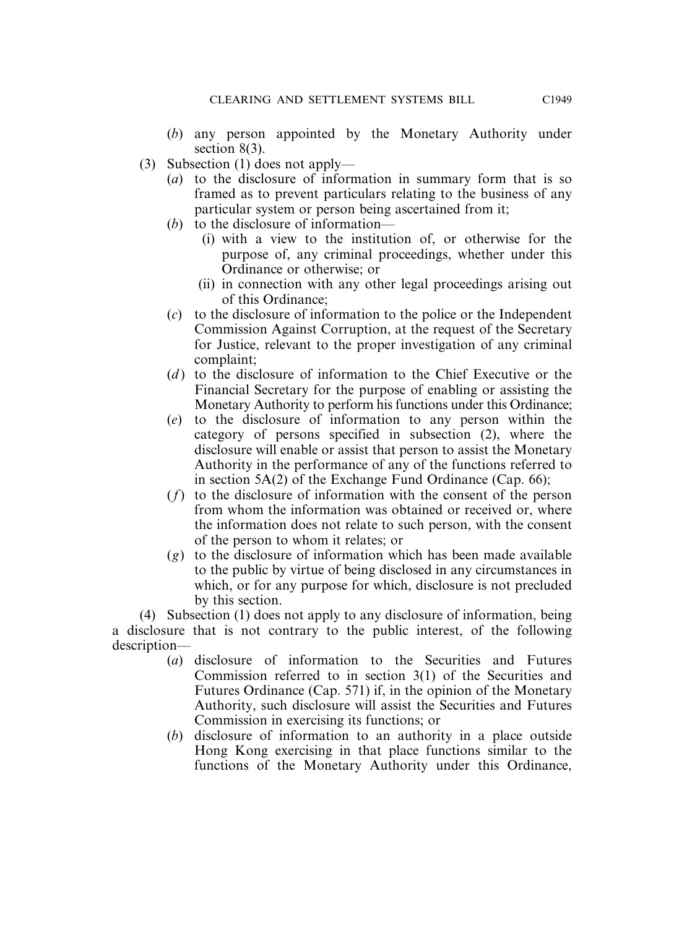- (*b*) any person appointed by the Monetary Authority under section 8(3).
- (3) Subsection (1) does not apply—
	- (*a*) to the disclosure of information in summary form that is so framed as to prevent particulars relating to the business of any particular system or person being ascertained from it;
	- (*b*) to the disclosure of information—
		- (i) with a view to the institution of, or otherwise for the purpose of, any criminal proceedings, whether under this Ordinance or otherwise; or
		- (ii) in connection with any other legal proceedings arising out of this Ordinance;
	- (*c*) to the disclosure of information to the police or the Independent Commission Against Corruption, at the request of the Secretary for Justice, relevant to the proper investigation of any criminal complaint;
	- (*d* ) to the disclosure of information to the Chief Executive or the Financial Secretary for the purpose of enabling or assisting the Monetary Authority to perform his functions under this Ordinance;
	- (*e*) to the disclosure of information to any person within the category of persons specified in subsection (2), where the disclosure will enable or assist that person to assist the Monetary Authority in the performance of any of the functions referred to in section 5A(2) of the Exchange Fund Ordinance (Cap. 66);
	- (*f*) to the disclosure of information with the consent of the person from whom the information was obtained or received or, where the information does not relate to such person, with the consent of the person to whom it relates; or
	- (*g*) to the disclosure of information which has been made available to the public by virtue of being disclosed in any circumstances in which, or for any purpose for which, disclosure is not precluded by this section.

(4) Subsection (1) does not apply to any disclosure of information, being a disclosure that is not contrary to the public interest, of the following description—

- (*a*) disclosure of information to the Securities and Futures Commission referred to in section 3(1) of the Securities and Futures Ordinance (Cap. 571) if, in the opinion of the Monetary Authority, such disclosure will assist the Securities and Futures Commission in exercising its functions; or
- (*b*) disclosure of information to an authority in a place outside Hong Kong exercising in that place functions similar to the functions of the Monetary Authority under this Ordinance,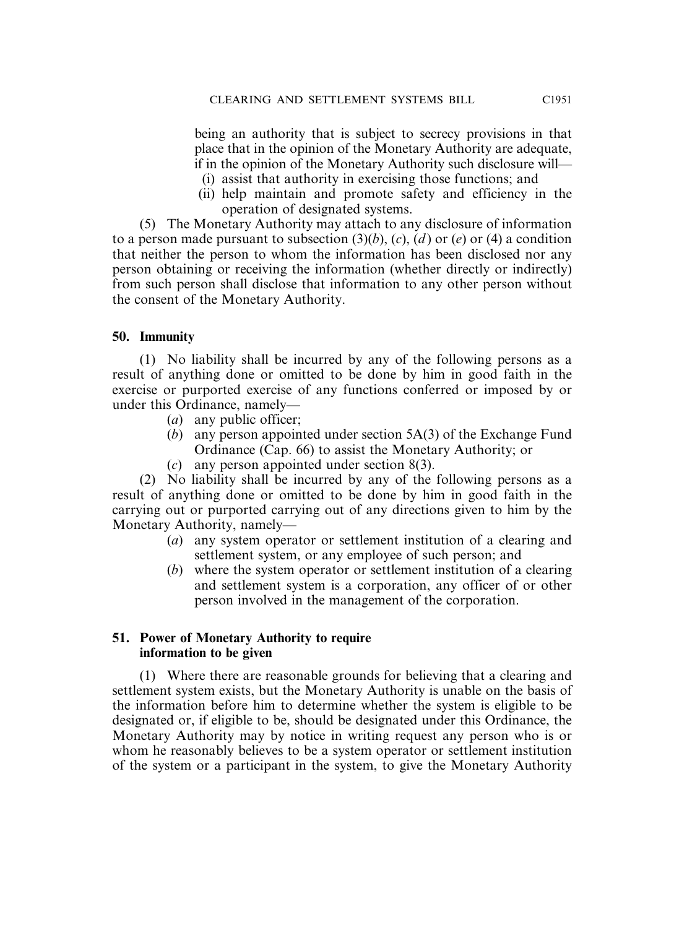being an authority that is subject to secrecy provisions in that place that in the opinion of the Monetary Authority are adequate, if in the opinion of the Monetary Authority such disclosure will—

- (i) assist that authority in exercising those functions; and
- (ii) help maintain and promote safety and efficiency in the operation of designated systems.

(5) The Monetary Authority may attach to any disclosure of information to a person made pursuant to subsection  $(3)(b)$ ,  $(c)$ ,  $(d)$  or  $(e)$  or  $(4)$  a condition that neither the person to whom the information has been disclosed nor any person obtaining or receiving the information (whether directly or indirectly) from such person shall disclose that information to any other person without the consent of the Monetary Authority.

#### **50. Immunity**

(1) No liability shall be incurred by any of the following persons as a result of anything done or omitted to be done by him in good faith in the exercise or purported exercise of any functions conferred or imposed by or under this Ordinance, namely—

- (*a*) any public officer;
- (*b*) any person appointed under section 5A(3) of the Exchange Fund Ordinance (Cap. 66) to assist the Monetary Authority; or
- (*c*) any person appointed under section 8(3).

(2) No liability shall be incurred by any of the following persons as a result of anything done or omitted to be done by him in good faith in the carrying out or purported carrying out of any directions given to him by the Monetary Authority, namely—

- (*a*) any system operator or settlement institution of a clearing and settlement system, or any employee of such person; and
- (*b*) where the system operator or settlement institution of a clearing and settlement system is a corporation, any officer of or other person involved in the management of the corporation.

#### **51. Power of Monetary Authority to require information to be given**

(1) Where there are reasonable grounds for believing that a clearing and settlement system exists, but the Monetary Authority is unable on the basis of the information before him to determine whether the system is eligible to be designated or, if eligible to be, should be designated under this Ordinance, the Monetary Authority may by notice in writing request any person who is or whom he reasonably believes to be a system operator or settlement institution of the system or a participant in the system, to give the Monetary Authority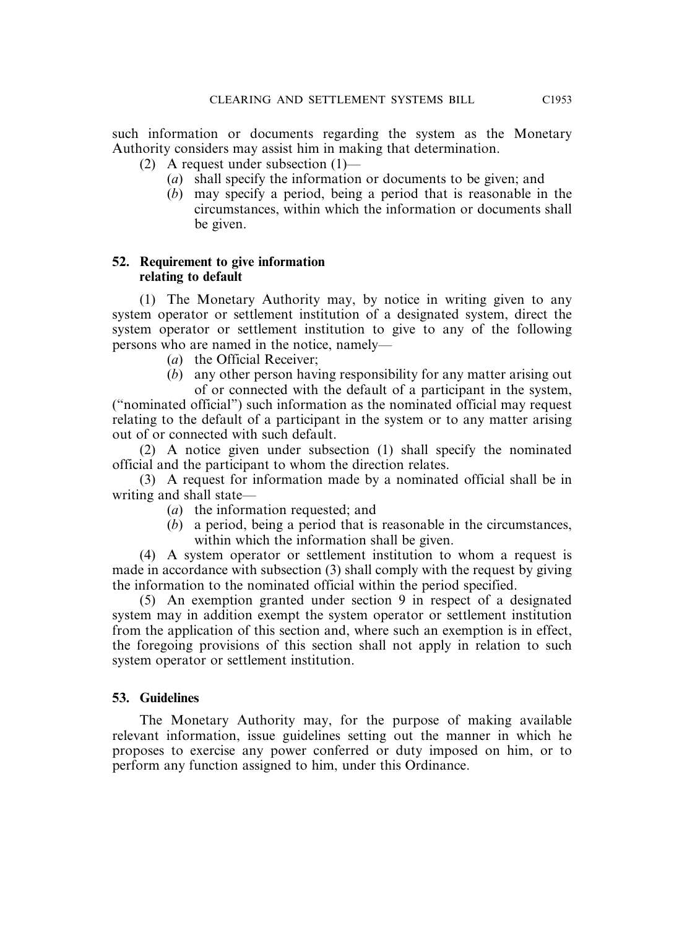such information or documents regarding the system as the Monetary Authority considers may assist him in making that determination.

- (2) A request under subsection (1)—
	- (*a*) shall specify the information or documents to be given; and
	- (*b*) may specify a period, being a period that is reasonable in the circumstances, within which the information or documents shall be given.

# **52. Requirement to give information relating to default**

(1) The Monetary Authority may, by notice in writing given to any system operator or settlement institution of a designated system, direct the system operator or settlement institution to give to any of the following persons who are named in the notice, namely—

- (*a*) the Official Receiver;
- (*b*) any other person having responsibility for any matter arising out of or connected with the default of a participant in the system,

("nominated official") such information as the nominated official may request relating to the default of a participant in the system or to any matter arising out of or connected with such default.

(2) A notice given under subsection (1) shall specify the nominated official and the participant to whom the direction relates.

(3) A request for information made by a nominated official shall be in writing and shall state—

- (*a*) the information requested; and
- (*b*) a period, being a period that is reasonable in the circumstances, within which the information shall be given.

(4) A system operator or settlement institution to whom a request is made in accordance with subsection (3) shall comply with the request by giving the information to the nominated official within the period specified.

(5) An exemption granted under section 9 in respect of a designated system may in addition exempt the system operator or settlement institution from the application of this section and, where such an exemption is in effect, the foregoing provisions of this section shall not apply in relation to such system operator or settlement institution.

# **53. Guidelines**

The Monetary Authority may, for the purpose of making available relevant information, issue guidelines setting out the manner in which he proposes to exercise any power conferred or duty imposed on him, or to perform any function assigned to him, under this Ordinance.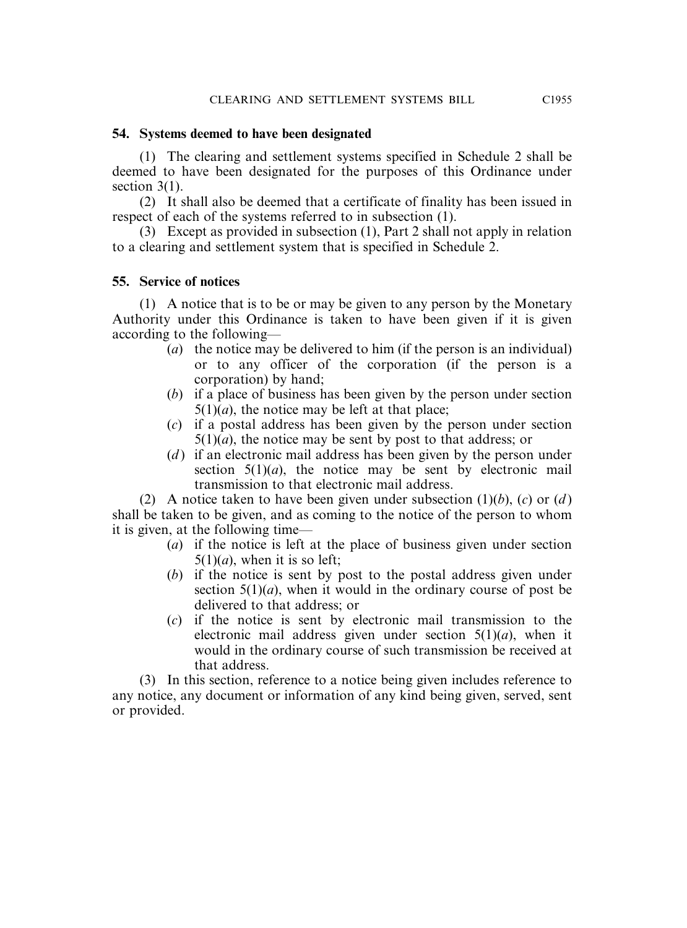#### **54. Systems deemed to have been designated**

(1) The clearing and settlement systems specified in Schedule 2 shall be deemed to have been designated for the purposes of this Ordinance under section 3(1).

(2) It shall also be deemed that a certificate of finality has been issued in respect of each of the systems referred to in subsection (1).

(3) Except as provided in subsection (1), Part 2 shall not apply in relation to a clearing and settlement system that is specified in Schedule 2.

#### **55. Service of notices**

(1) A notice that is to be or may be given to any person by the Monetary Authority under this Ordinance is taken to have been given if it is given according to the following—

- (*a*) the notice may be delivered to him (if the person is an individual) or to any officer of the corporation (if the person is a corporation) by hand;
- (*b*) if a place of business has been given by the person under section  $5(1)(a)$ , the notice may be left at that place;
- (*c*) if a postal address has been given by the person under section  $5(1)(a)$ , the notice may be sent by post to that address; or
- (*d*) if an electronic mail address has been given by the person under section  $5(1)(a)$ , the notice may be sent by electronic mail transmission to that electronic mail address.

(2) A notice taken to have been given under subsection (1)(*b*), (*c*) or (*d* ) shall be taken to be given, and as coming to the notice of the person to whom it is given, at the following time—

- (*a*) if the notice is left at the place of business given under section  $5(1)(a)$ , when it is so left;
- (*b*) if the notice is sent by post to the postal address given under section  $5(1)(a)$ , when it would in the ordinary course of post be delivered to that address; or
- (*c*) if the notice is sent by electronic mail transmission to the electronic mail address given under section 5(1)(*a*), when it would in the ordinary course of such transmission be received at that address.

(3) In this section, reference to a notice being given includes reference to any notice, any document or information of any kind being given, served, sent or provided.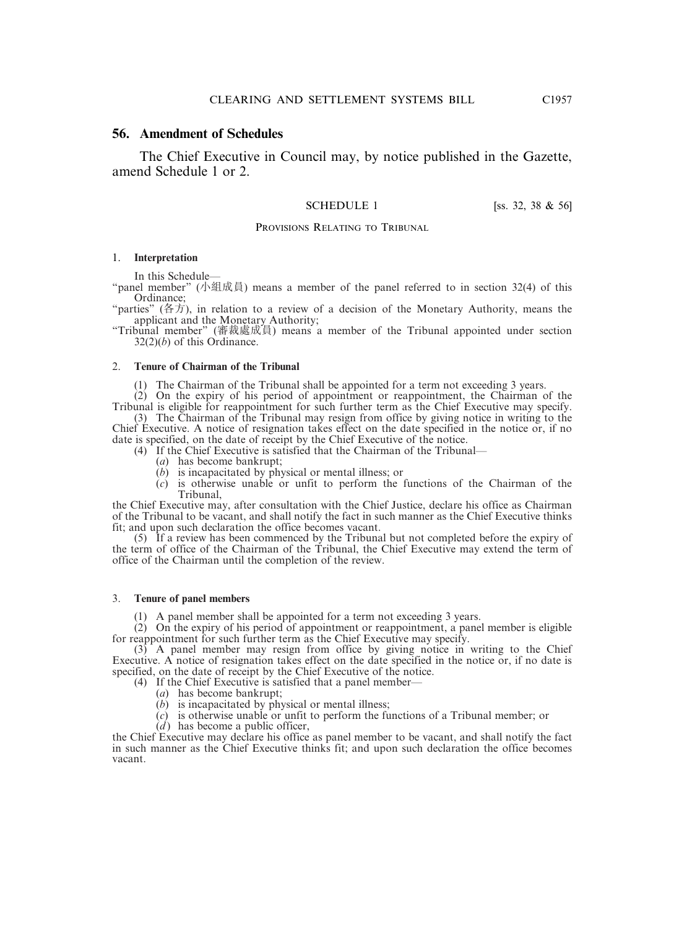#### **56. Amendment of Schedules**

The Chief Executive in Council may, by notice published in the Gazette, amend Schedule 1 or 2.

SCHEDULE 1 [ss. 32, 38 & 56]

#### PROVISIONS RELATING TO TRIBUNAL

#### 1. **Interpretation**

In this Schedule—

"panel member" (小組成員) means a member of the panel referred to in section 32(4) of this Ordinance;

"parties" (各方), in relation to a review of a decision of the Monetary Authority, means the applicant and the Monetary Authority;

"Tribunal member" (審裁處成員) means a member of the Tribunal appointed under section 32(2)(*b*) of this Ordinance.

#### 2. **Tenure of Chairman of the Tribunal**

(1) The Chairman of the Tribunal shall be appointed for a term not exceeding 3 years.

(2) On the expiry of his period of appointment or reappointment, the Chairman of the Tribunal is eligible for reappointment for such further term as the Chief Executive may specify. (3) The Chairman of the Tribunal may resign from office by giving notice in writing to the Chief Executive. A notice of resignation takes effect on the date specified in the notice or, if no

date is specified, on the date of receipt by the Chief Executive of the notice. (4) If the Chief Executive is satisfied that the Chairman of the Tribunal—

- (*a*) has become bankrupt;
- (*b*) is incapacitated by physical or mental illness; or
- (*c*) is otherwise unable or unfit to perform the functions of the Chairman of the Tribunal,

the Chief Executive may, after consultation with the Chief Justice, declare his office as Chairman of the Tribunal to be vacant, and shall notify the fact in such manner as the Chief Executive thinks fit; and upon such declaration the office becomes vacant.

(5) If a review has been commenced by the Tribunal but not completed before the expiry of the term of office of the Chairman of the Tribunal, the Chief Executive may extend the term of office of the Chairman until the completion of the review.

#### 3. **Tenure of panel members**

(1) A panel member shall be appointed for a term not exceeding 3 years.

(2) On the expiry of his period of appointment or reappointment, a panel member is eligible for reappointment for such further term as the Chief Executive may specify.

 $(3)$  A panel member may resign from office by giving notice in writing to the Chief Executive. A notice of resignation takes effect on the date specified in the notice or, if no date is specified, on the date of receipt by the Chief Executive of the notice.

- (4) If the Chief Executive is satisfied that a panel member—
	- (*a*) has become bankrupt;
	- (*b*) is incapacitated by physical or mental illness;
	- (*c*) is otherwise unable or unfit to perform the functions of a Tribunal member; or
	- (*d*) has become a public officer,

the Chief Executive may declare his office as panel member to be vacant, and shall notify the fact in such manner as the Chief Executive thinks fit; and upon such declaration the office becomes vacant.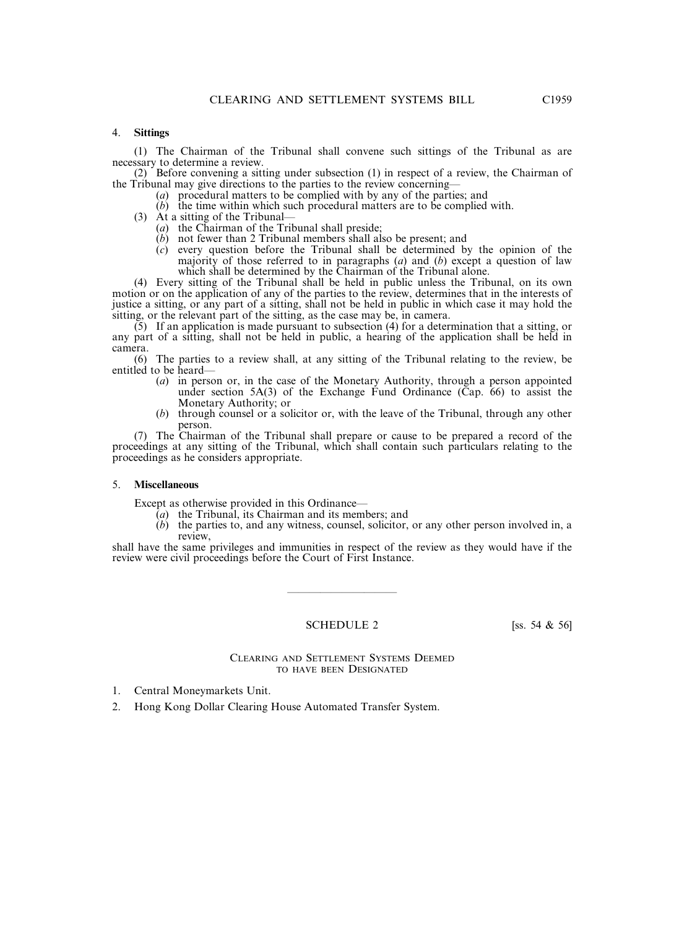#### 4. **Sittings**

(1) The Chairman of the Tribunal shall convene such sittings of the Tribunal as are necessary to determine a review.

(2) Before convening a sitting under subsection (1) in respect of a review, the Chairman of the Tribunal may give directions to the parties to the review concerning—

- (*a*) procedural matters to be complied with by any of the parties; and
- (*b*) the time within which such procedural matters are to be complied with.
- (3) At a sitting of the Tribunal—
	- (*a*) the Chairman of the Tribunal shall preside;
	- (*b*) not fewer than 2 Tribunal members shall also be present; and
	- (*c*) every question before the Tribunal shall be determined by the opinion of the majority of those referred to in paragraphs (*a*) and (*b*) except a question of law which shall be determined by the Chairman of the Tribunal alone.

(4) Every sitting of the Tribunal shall be held in public unless the Tribunal, on its own motion or on the application of any of the parties to the review, determines that in the interests of justice a sitting, or any part of a sitting, shall not be held in public in which case it may hold the sitting, or the relevant part of the sitting, as the case may be, in camera.

 $(5)$  If an application is made pursuant to subsection (4) for a determination that a sitting, or any part of a sitting, shall not be held in public, a hearing of the application shall be held in camera.

(6) The parties to a review shall, at any sitting of the Tribunal relating to the review, be entitled to be heard—

- (*a*) in person or, in the case of the Monetary Authority, through a person appointed under section  $5A(3)$  of the Exchange Fund Ordinance (Cap. 66) to assist the Monetary Authority; or
- (*b*) through counsel or a solicitor or, with the leave of the Tribunal, through any other person.

(7) The Chairman of the Tribunal shall prepare or cause to be prepared a record of the proceedings at any sitting of the Tribunal, which shall contain such particulars relating to the proceedings as he considers appropriate.

#### 5. **Miscellaneous**

Except as otherwise provided in this Ordinance—

- $\overline{(a)}$  the Tribunal, its Chairman and its members; and
- (*b*) the parties to, and any witness, counsel, solicitor, or any other person involved in, a review,

shall have the same privileges and immunities in respect of the review as they would have if the review were civil proceedings before the Court of First Instance.

#### SCHEDULE 2  $[ss. 54 \& 56]$

——————————

#### CLEARING AND SETTLEMENT SYSTEMS DEEMED TO HAVE BEEN DESIGNATED

- 1. Central Moneymarkets Unit.
- 2. Hong Kong Dollar Clearing House Automated Transfer System.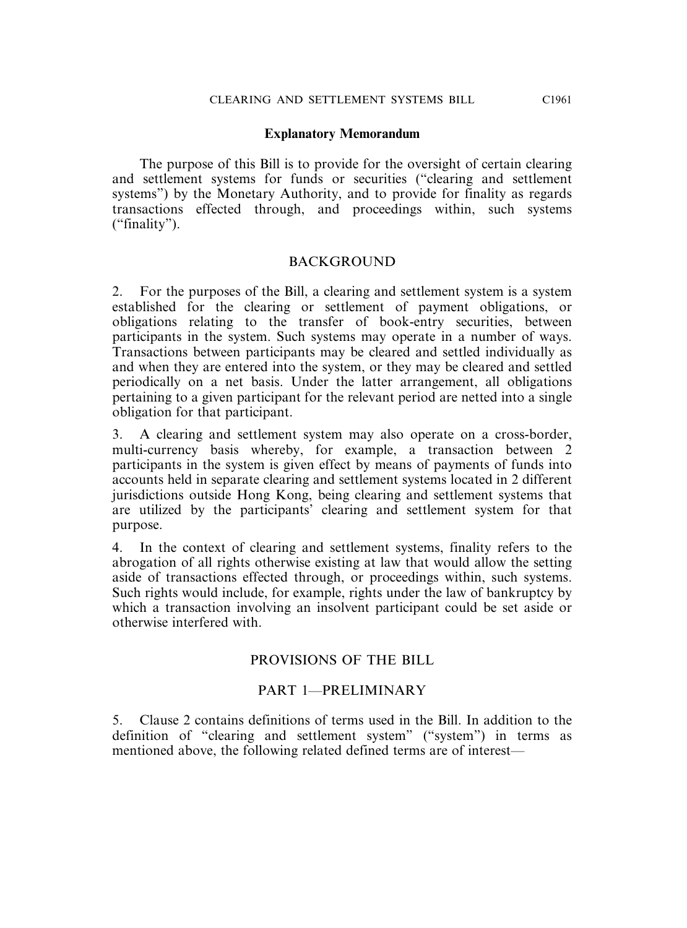#### **Explanatory Memorandum**

The purpose of this Bill is to provide for the oversight of certain clearing and settlement systems for funds or securities ("clearing and settlement systems") by the Monetary Authority, and to provide for finality as regards transactions effected through, and proceedings within, such systems ("finality").

#### **BACKGROUND**

2. For the purposes of the Bill, a clearing and settlement system is a system established for the clearing or settlement of payment obligations, or obligations relating to the transfer of book-entry securities, between participants in the system. Such systems may operate in a number of ways. Transactions between participants may be cleared and settled individually as and when they are entered into the system, or they may be cleared and settled periodically on a net basis. Under the latter arrangement, all obligations pertaining to a given participant for the relevant period are netted into a single obligation for that participant.

3. A clearing and settlement system may also operate on a cross-border, multi-currency basis whereby, for example, a transaction between 2 participants in the system is given effect by means of payments of funds into accounts held in separate clearing and settlement systems located in 2 different jurisdictions outside Hong Kong, being clearing and settlement systems that are utilized by the participants' clearing and settlement system for that purpose.

4. In the context of clearing and settlement systems, finality refers to the abrogation of all rights otherwise existing at law that would allow the setting aside of transactions effected through, or proceedings within, such systems. Such rights would include, for example, rights under the law of bankruptcy by which a transaction involving an insolvent participant could be set aside or otherwise interfered with.

# PROVISIONS OF THE BILL

#### PART 1—PRELIMINARY

5. Clause 2 contains definitions of terms used in the Bill. In addition to the definition of "clearing and settlement system" ("system") in terms as mentioned above, the following related defined terms are of interest—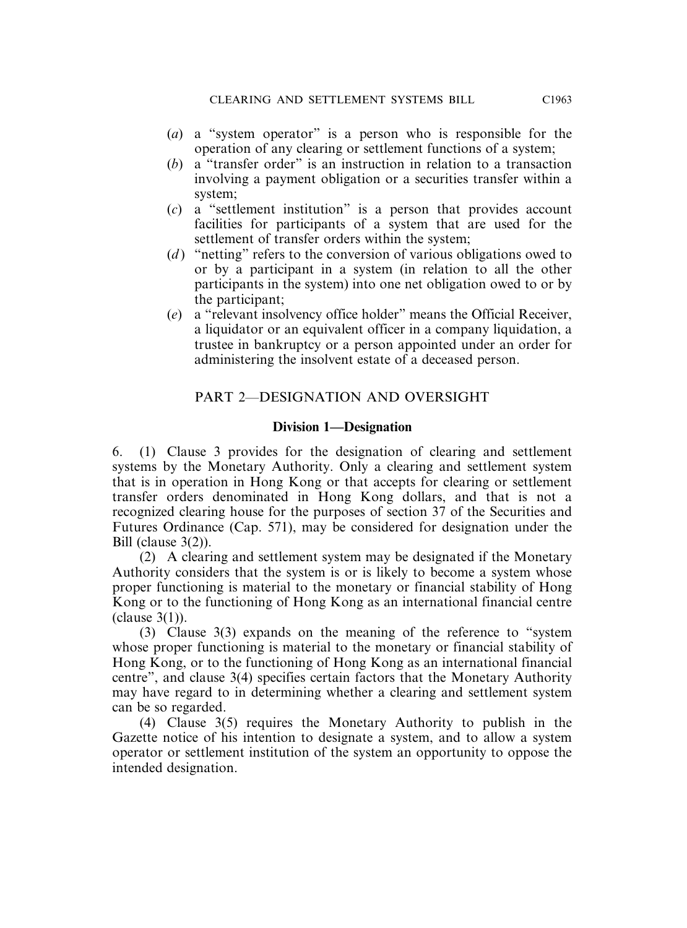- (*a*) a "system operator" is a person who is responsible for the operation of any clearing or settlement functions of a system;
- (*b*) a "transfer order" is an instruction in relation to a transaction involving a payment obligation or a securities transfer within a system;
- (*c*) a "settlement institution" is a person that provides account facilities for participants of a system that are used for the settlement of transfer orders within the system;
- (*d* ) "netting" refers to the conversion of various obligations owed to or by a participant in a system (in relation to all the other participants in the system) into one net obligation owed to or by the participant;
- (*e*) a "relevant insolvency office holder" means the Official Receiver, a liquidator or an equivalent officer in a company liquidation, a trustee in bankruptcy or a person appointed under an order for administering the insolvent estate of a deceased person.

# PART 2—DESIGNATION AND OVERSIGHT

# **Division 1—Designation**

6. (1) Clause 3 provides for the designation of clearing and settlement systems by the Monetary Authority. Only a clearing and settlement system that is in operation in Hong Kong or that accepts for clearing or settlement transfer orders denominated in Hong Kong dollars, and that is not a recognized clearing house for the purposes of section 37 of the Securities and Futures Ordinance (Cap. 571), may be considered for designation under the Bill (clause 3(2)).

(2) A clearing and settlement system may be designated if the Monetary Authority considers that the system is or is likely to become a system whose proper functioning is material to the monetary or financial stability of Hong Kong or to the functioning of Hong Kong as an international financial centre (clause 3(1)).

(3) Clause 3(3) expands on the meaning of the reference to "system whose proper functioning is material to the monetary or financial stability of Hong Kong, or to the functioning of Hong Kong as an international financial centre", and clause 3(4) specifies certain factors that the Monetary Authority may have regard to in determining whether a clearing and settlement system can be so regarded.

(4) Clause 3(5) requires the Monetary Authority to publish in the Gazette notice of his intention to designate a system, and to allow a system operator or settlement institution of the system an opportunity to oppose the intended designation.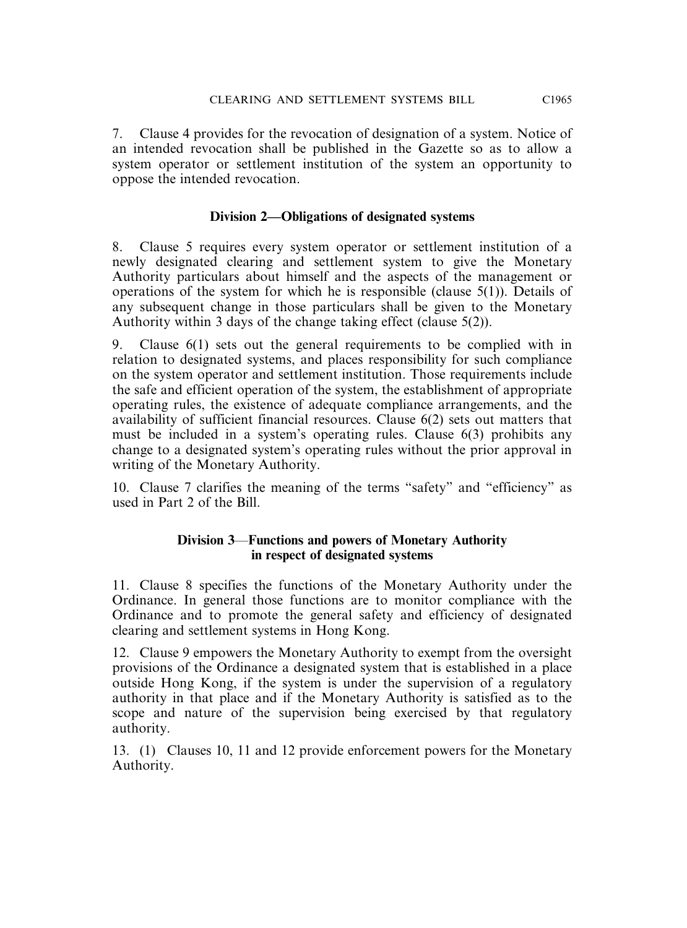7. Clause 4 provides for the revocation of designation of a system. Notice of an intended revocation shall be published in the Gazette so as to allow a system operator or settlement institution of the system an opportunity to oppose the intended revocation.

# **Division 2—Obligations of designated systems**

8. Clause 5 requires every system operator or settlement institution of a newly designated clearing and settlement system to give the Monetary Authority particulars about himself and the aspects of the management or operations of the system for which he is responsible (clause 5(1)). Details of any subsequent change in those particulars shall be given to the Monetary Authority within 3 days of the change taking effect (clause 5(2)).

9. Clause 6(1) sets out the general requirements to be complied with in relation to designated systems, and places responsibility for such compliance on the system operator and settlement institution. Those requirements include the safe and efficient operation of the system, the establishment of appropriate operating rules, the existence of adequate compliance arrangements, and the availability of sufficient financial resources. Clause 6(2) sets out matters that must be included in a system's operating rules. Clause 6(3) prohibits any change to a designated system's operating rules without the prior approval in writing of the Monetary Authority.

10. Clause 7 clarifies the meaning of the terms "safety" and "efficiency" as used in Part 2 of the Bill.

# **Division 3**—**Functions and powers of Monetary Authority in respect of designated systems**

11. Clause 8 specifies the functions of the Monetary Authority under the Ordinance. In general those functions are to monitor compliance with the Ordinance and to promote the general safety and efficiency of designated clearing and settlement systems in Hong Kong.

12. Clause 9 empowers the Monetary Authority to exempt from the oversight provisions of the Ordinance a designated system that is established in a place outside Hong Kong, if the system is under the supervision of a regulatory authority in that place and if the Monetary Authority is satisfied as to the scope and nature of the supervision being exercised by that regulatory authority.

13. (1) Clauses 10, 11 and 12 provide enforcement powers for the Monetary Authority.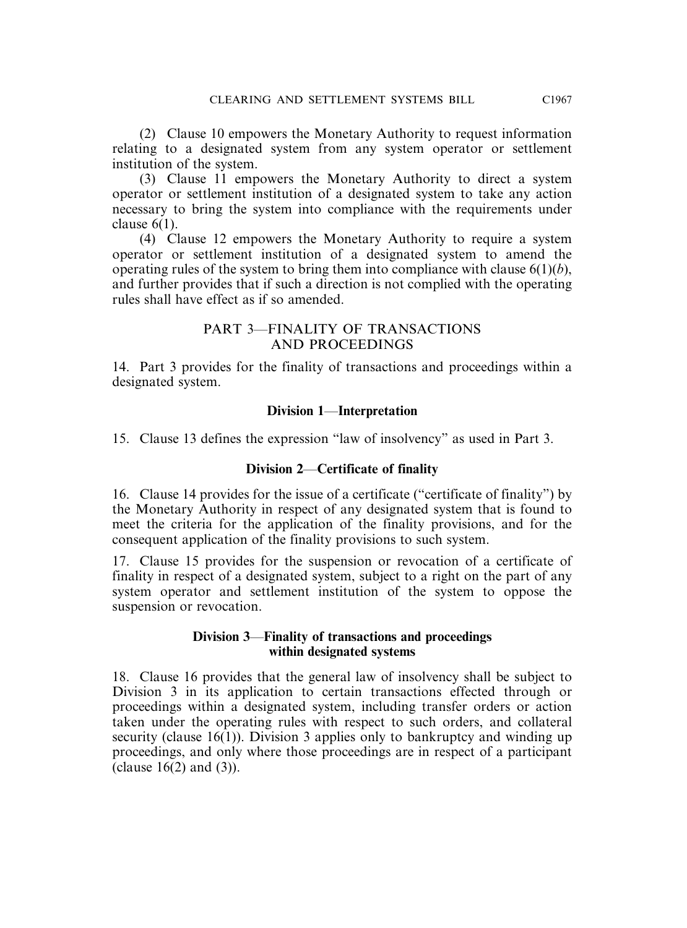(2) Clause 10 empowers the Monetary Authority to request information relating to a designated system from any system operator or settlement institution of the system.

(3) Clause 11 empowers the Monetary Authority to direct a system operator or settlement institution of a designated system to take any action necessary to bring the system into compliance with the requirements under clause 6(1).

(4) Clause 12 empowers the Monetary Authority to require a system operator or settlement institution of a designated system to amend the operating rules of the system to bring them into compliance with clause  $6(1)(b)$ , and further provides that if such a direction is not complied with the operating rules shall have effect as if so amended.

#### PART 3—FINALITY OF TRANSACTIONS AND PROCEEDINGS

14. Part 3 provides for the finality of transactions and proceedings within a designated system.

# **Division 1**—**Interpretation**

15. Clause 13 defines the expression "law of insolvency" as used in Part 3.

# **Division 2**—**Certificate of finality**

16. Clause 14 provides for the issue of a certificate ("certificate of finality") by the Monetary Authority in respect of any designated system that is found to meet the criteria for the application of the finality provisions, and for the consequent application of the finality provisions to such system.

17. Clause 15 provides for the suspension or revocation of a certificate of finality in respect of a designated system, subject to a right on the part of any system operator and settlement institution of the system to oppose the suspension or revocation.

# **Division 3**—**Finality of transactions and proceedings within designated systems**

18. Clause 16 provides that the general law of insolvency shall be subject to Division 3 in its application to certain transactions effected through or proceedings within a designated system, including transfer orders or action taken under the operating rules with respect to such orders, and collateral security (clause 16(1)). Division 3 applies only to bankruptcy and winding up proceedings, and only where those proceedings are in respect of a participant (clause  $16(2)$  and  $(3)$ ).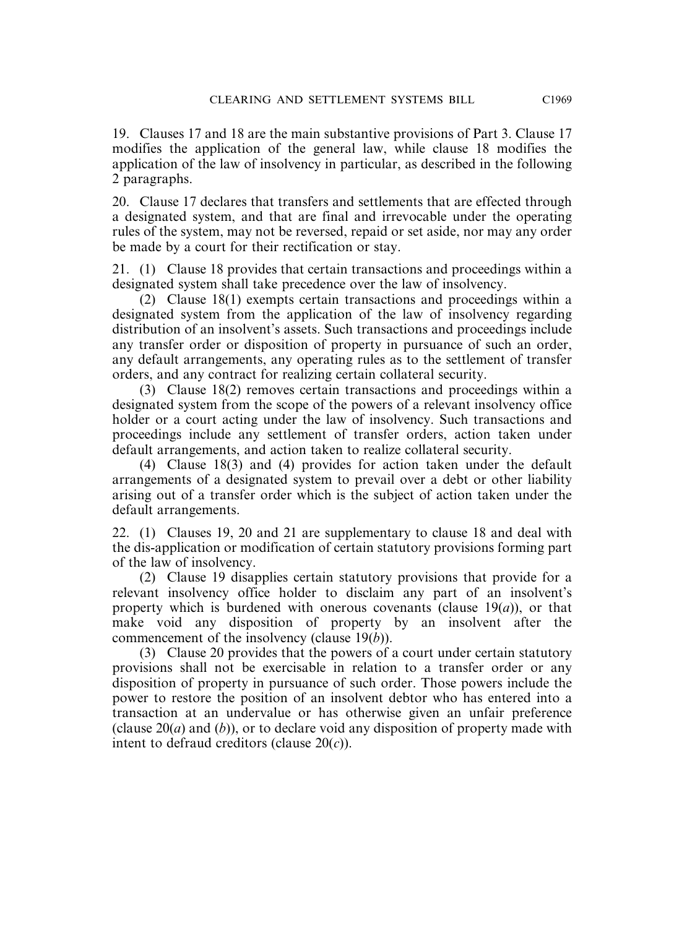19. Clauses 17 and 18 are the main substantive provisions of Part 3. Clause 17 modifies the application of the general law, while clause 18 modifies the application of the law of insolvency in particular, as described in the following 2 paragraphs.

20. Clause 17 declares that transfers and settlements that are effected through a designated system, and that are final and irrevocable under the operating rules of the system, may not be reversed, repaid or set aside, nor may any order be made by a court for their rectification or stay.

21. (1) Clause 18 provides that certain transactions and proceedings within a designated system shall take precedence over the law of insolvency.

(2) Clause 18(1) exempts certain transactions and proceedings within a designated system from the application of the law of insolvency regarding distribution of an insolvent's assets. Such transactions and proceedings include any transfer order or disposition of property in pursuance of such an order, any default arrangements, any operating rules as to the settlement of transfer orders, and any contract for realizing certain collateral security.

(3) Clause 18(2) removes certain transactions and proceedings within a designated system from the scope of the powers of a relevant insolvency office holder or a court acting under the law of insolvency. Such transactions and proceedings include any settlement of transfer orders, action taken under default arrangements, and action taken to realize collateral security.

(4) Clause 18(3) and (4) provides for action taken under the default arrangements of a designated system to prevail over a debt or other liability arising out of a transfer order which is the subject of action taken under the default arrangements.

22. (1) Clauses 19, 20 and 21 are supplementary to clause 18 and deal with the dis-application or modification of certain statutory provisions forming part of the law of insolvency.

(2) Clause 19 disapplies certain statutory provisions that provide for a relevant insolvency office holder to disclaim any part of an insolvent's property which is burdened with onerous covenants (clause 19(*a*)), or that make void any disposition of property by an insolvent after the commencement of the insolvency (clause 19(*b*)).

(3) Clause 20 provides that the powers of a court under certain statutory provisions shall not be exercisable in relation to a transfer order or any disposition of property in pursuance of such order. Those powers include the power to restore the position of an insolvent debtor who has entered into a transaction at an undervalue or has otherwise given an unfair preference (clause 20(*a*) and (*b*)), or to declare void any disposition of property made with intent to defraud creditors (clause 20(*c*)).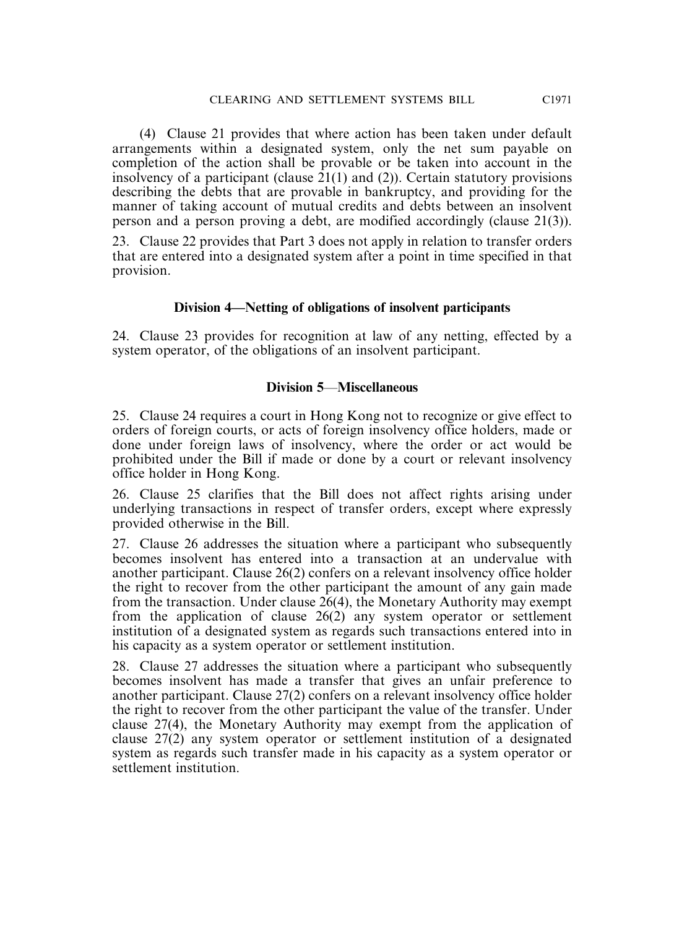(4) Clause 21 provides that where action has been taken under default arrangements within a designated system, only the net sum payable on completion of the action shall be provable or be taken into account in the insolvency of a participant (clause 21(1) and (2)). Certain statutory provisions describing the debts that are provable in bankruptcy, and providing for the manner of taking account of mutual credits and debts between an insolvent person and a person proving a debt, are modified accordingly (clause 21(3)).

23. Clause 22 provides that Part 3 does not apply in relation to transfer orders that are entered into a designated system after a point in time specified in that provision.

#### **Division 4—Netting of obligations of insolvent participants**

24. Clause 23 provides for recognition at law of any netting, effected by a system operator, of the obligations of an insolvent participant.

# **Division 5**—**Miscellaneous**

25. Clause 24 requires a court in Hong Kong not to recognize or give effect to orders of foreign courts, or acts of foreign insolvency office holders, made or done under foreign laws of insolvency, where the order or act would be prohibited under the Bill if made or done by a court or relevant insolvency office holder in Hong Kong.

26. Clause 25 clarifies that the Bill does not affect rights arising under underlying transactions in respect of transfer orders, except where expressly provided otherwise in the Bill.

27. Clause 26 addresses the situation where a participant who subsequently becomes insolvent has entered into a transaction at an undervalue with another participant. Clause 26(2) confers on a relevant insolvency office holder the right to recover from the other participant the amount of any gain made from the transaction. Under clause 26(4), the Monetary Authority may exempt from the application of clause 26(2) any system operator or settlement institution of a designated system as regards such transactions entered into in his capacity as a system operator or settlement institution.

28. Clause 27 addresses the situation where a participant who subsequently becomes insolvent has made a transfer that gives an unfair preference to another participant. Clause 27(2) confers on a relevant insolvency office holder the right to recover from the other participant the value of the transfer. Under clause 27(4), the Monetary Authority may exempt from the application of clause 27(2) any system operator or settlement institution of a designated system as regards such transfer made in his capacity as a system operator or settlement institution.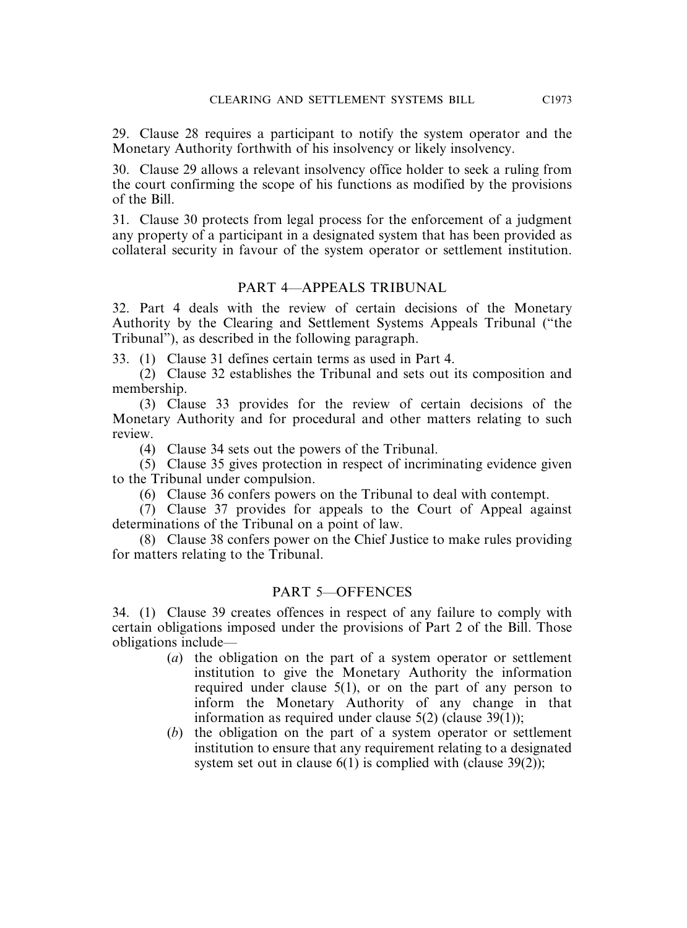29. Clause 28 requires a participant to notify the system operator and the Monetary Authority forthwith of his insolvency or likely insolvency.

30. Clause 29 allows a relevant insolvency office holder to seek a ruling from the court confirming the scope of his functions as modified by the provisions of the Bill.

31. Clause 30 protects from legal process for the enforcement of a judgment any property of a participant in a designated system that has been provided as collateral security in favour of the system operator or settlement institution.

# PART 4—APPEALS TRIBUNAL

32. Part 4 deals with the review of certain decisions of the Monetary Authority by the Clearing and Settlement Systems Appeals Tribunal ("the Tribunal"), as described in the following paragraph.

33. (1) Clause 31 defines certain terms as used in Part 4.

(2) Clause 32 establishes the Tribunal and sets out its composition and membership.

(3) Clause 33 provides for the review of certain decisions of the Monetary Authority and for procedural and other matters relating to such review.

(4) Clause 34 sets out the powers of the Tribunal.

(5) Clause 35 gives protection in respect of incriminating evidence given to the Tribunal under compulsion.

(6) Clause 36 confers powers on the Tribunal to deal with contempt.

(7) Clause 37 provides for appeals to the Court of Appeal against determinations of the Tribunal on a point of law.

(8) Clause 38 confers power on the Chief Justice to make rules providing for matters relating to the Tribunal.

# PART 5—OFFENCES

34. (1) Clause 39 creates offences in respect of any failure to comply with certain obligations imposed under the provisions of Part 2 of the Bill. Those obligations include—

- (*a*) the obligation on the part of a system operator or settlement institution to give the Monetary Authority the information required under clause 5(1), or on the part of any person to inform the Monetary Authority of any change in that information as required under clause 5(2) (clause 39(1));
- (*b*) the obligation on the part of a system operator or settlement institution to ensure that any requirement relating to a designated system set out in clause  $6(1)$  is complied with (clause 39(2));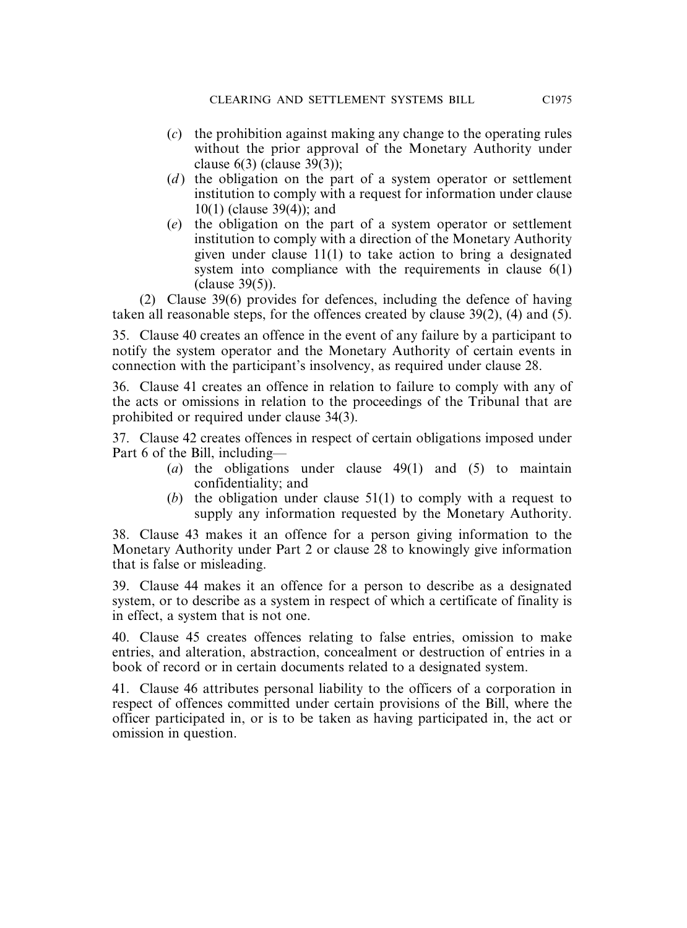- (*c*) the prohibition against making any change to the operating rules without the prior approval of the Monetary Authority under clause 6(3) (clause 39(3));
- (*d*) the obligation on the part of a system operator or settlement institution to comply with a request for information under clause 10(1) (clause 39(4)); and
- (*e*) the obligation on the part of a system operator or settlement institution to comply with a direction of the Monetary Authority given under clause 11(1) to take action to bring a designated system into compliance with the requirements in clause 6(1) (clause 39(5)).

(2) Clause 39(6) provides for defences, including the defence of having taken all reasonable steps, for the offences created by clause 39(2), (4) and (5).

35. Clause 40 creates an offence in the event of any failure by a participant to notify the system operator and the Monetary Authority of certain events in connection with the participant's insolvency, as required under clause 28.

36. Clause 41 creates an offence in relation to failure to comply with any of the acts or omissions in relation to the proceedings of the Tribunal that are prohibited or required under clause 34(3).

37. Clause 42 creates offences in respect of certain obligations imposed under Part 6 of the Bill, including—

- (*a*) the obligations under clause 49(1) and (5) to maintain confidentiality; and
- (*b*) the obligation under clause 51(1) to comply with a request to supply any information requested by the Monetary Authority.

38. Clause 43 makes it an offence for a person giving information to the Monetary Authority under Part 2 or clause 28 to knowingly give information that is false or misleading.

39. Clause 44 makes it an offence for a person to describe as a designated system, or to describe as a system in respect of which a certificate of finality is in effect, a system that is not one.

40. Clause 45 creates offences relating to false entries, omission to make entries, and alteration, abstraction, concealment or destruction of entries in a book of record or in certain documents related to a designated system.

41. Clause 46 attributes personal liability to the officers of a corporation in respect of offences committed under certain provisions of the Bill, where the officer participated in, or is to be taken as having participated in, the act or omission in question.